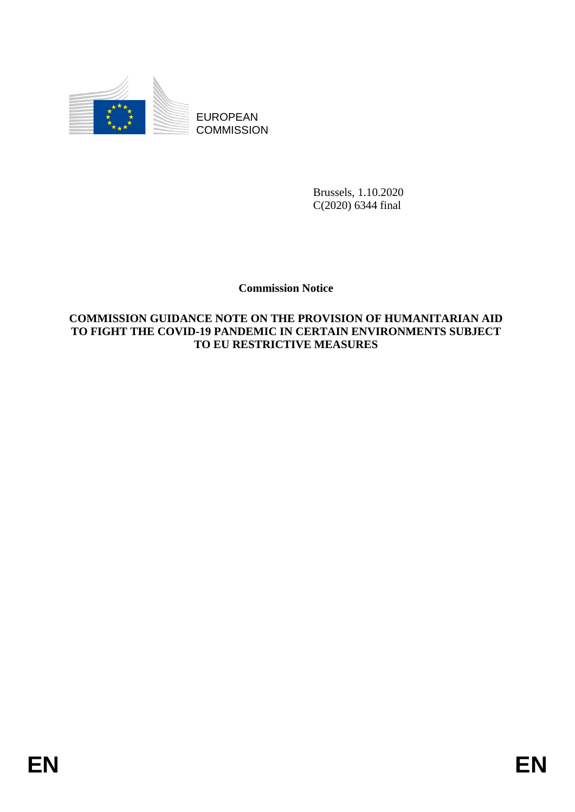

**COMMISSION** 

Brussels, 1.10.2020 C(2020) 6344 final

# **Commission Notice**

# EUROPEAN<br>
ECONOMISSION<br>
COMMISSION<br>
COMMISSION<br>
COMMISSION<br>
COMMISSION<br>
COMMISSION<br>
COMMISSION<br>
COMMISSION<br>
COMMISSION<br>
COMMISSION<br>
COMMISSION<br>
TO FERENT REVINCTIVE MEASURES<br>
FOR EXECUTIVE MEASURES<br>
FOR THE REVINCTIVE MEAS **COMMISSION GUIDANCE NOTE ON THE PROVISION OF HUMANITARIAN AID TO FIGHT THE COVID-19 PANDEMIC IN CERTAIN ENVIRONMENTS SUBJECT TO EU RESTRICTIVE MEASURES**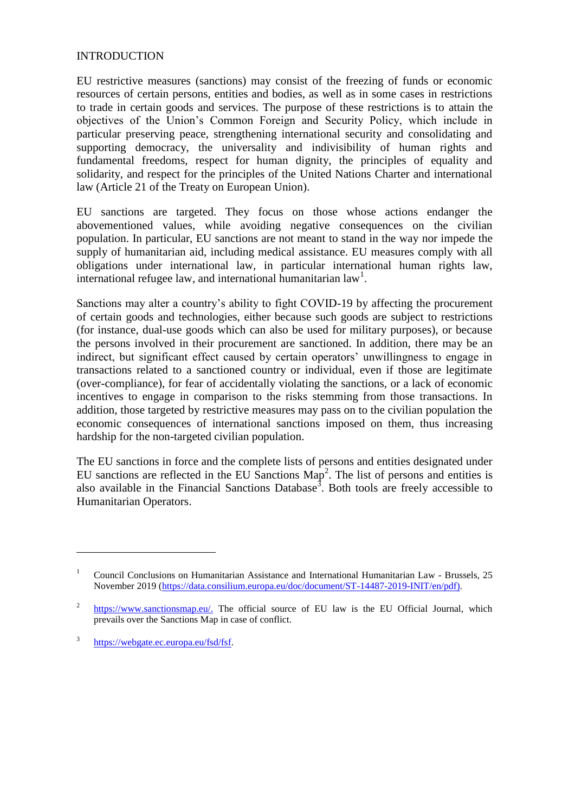### **INTRODUCTION**

EU restrictive measures (sanctions) may consist of the freezing of funds or economic resources of certain persons, entities and bodies, as well as in some cases in restrictions to trade in certain goods and services. The purpose of these restrictions is to attain the objectives of the Union's Common Foreign and Security Policy, which include in particular preserving peace, strengthening international security and consolidating and supporting democracy, the universality and indivisibility of human rights and fundamental freedoms, respect for human dignity, the principles of equality and solidarity, and respect for the principles of the United Nations Charter and international law (Article 21 of the Treaty on European Union).

EU sanctions are targeted. They focus on those whose actions endanger the abovementioned values, while avoiding negative consequences on the civilian population. In particular, EU sanctions are not meant to stand in the way nor impede the supply of humanitarian aid, including medical assistance. EU measures comply with all obligations under international law, in particular international human rights law, international refugee law, and international humanitarian law<sup>1</sup>.

Sanctions may alter a country's ability to fight COVID-19 by affecting the procurement of certain goods and technologies, either because such goods are subject to restrictions (for instance, dual-use goods which can also be used for military purposes), or because the persons involved in their procurement are sanctioned. In addition, there may be an indirect, but significant effect caused by certain operators' unwillingness to engage in transactions related to a sanctioned country or individual, even if those are legitimate (over-compliance), for fear of accidentally violating the sanctions, or a lack of economic incentives to engage in comparison to the risks stemming from those transactions. In addition, those targeted by restrictive measures may pass on to the civilian population the economic consequences of international sanctions imposed on them, thus increasing hardship for the non-targeted civilian population.

The EU sanctions in force and the complete lists of persons and entities designated under EU sanctions are reflected in the EU Sanctions  $\text{Map}^2$ . The list of persons and entities is also available in the Financial Sanctions Database<sup>3</sup>. Both tools are freely accessible to Humanitarian Operators.

<sup>&</sup>lt;sup>1</sup> Council Conclusions on Humanitarian Assistance and International Humanitarian Law - Brussels, 25 November 2019 [\(https://data.consilium.europa.eu/doc/document/ST-14487-2019-INIT/en/pdf\)](https://data.consilium.europa.eu/doc/document/ST-14487-2019-INIT/en/pdf).

<sup>2</sup> [https://www.sanctionsmap.eu/.](https://www.sanctionsmap.eu/) The official source of EU law is the EU Official Journal, which prevails over the Sanctions Map in case of conflict.

<sup>3</sup> [https://webgate.ec.europa.eu/fsd/fsf.](https://webgate.ec.europa.eu/fsd/fsf)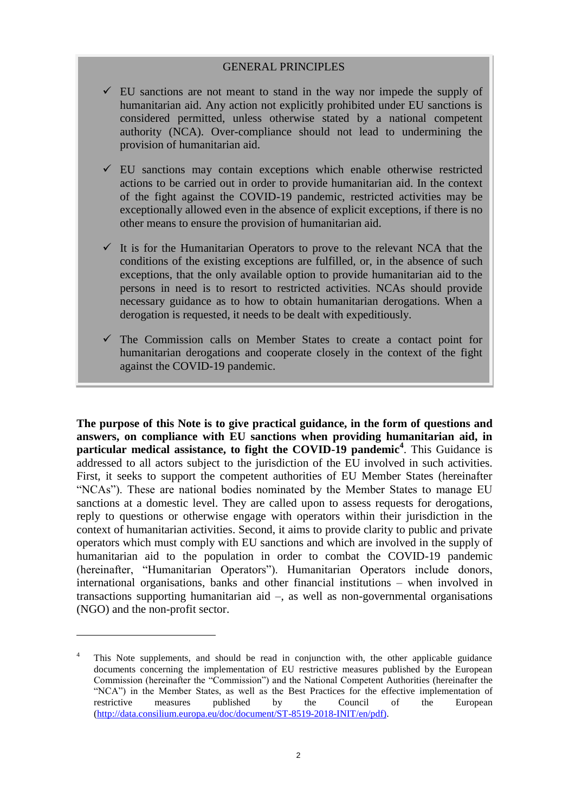### GENERAL PRINCIPLES

- $\checkmark$  EU sanctions are not meant to stand in the way nor impede the supply of humanitarian aid. Any action not explicitly prohibited under EU sanctions is considered permitted, unless otherwise stated by a national competent authority (NCA). Over-compliance should not lead to undermining the provision of humanitarian aid.
- $\checkmark$  EU sanctions may contain exceptions which enable otherwise restricted actions to be carried out in order to provide humanitarian aid. In the context of the fight against the COVID-19 pandemic, restricted activities may be exceptionally allowed even in the absence of explicit exceptions, if there is no other means to ensure the provision of humanitarian aid.
- $\checkmark$  It is for the Humanitarian Operators to prove to the relevant NCA that the conditions of the existing exceptions are fulfilled, or, in the absence of such exceptions, that the only available option to provide humanitarian aid to the persons in need is to resort to restricted activities. NCAs should provide necessary guidance as to how to obtain humanitarian derogations. When a derogation is requested, it needs to be dealt with expeditiously.
- $\checkmark$  The Commission calls on Member States to create a contact point for humanitarian derogations and cooperate closely in the context of the fight against the COVID-19 pandemic.

**The purpose of this Note is to give practical guidance, in the form of questions and answers, on compliance with EU sanctions when providing humanitarian aid, in particular medical assistance, to fight the COVID-19 pandemic<sup>4</sup>** . This Guidance is addressed to all actors subject to the jurisdiction of the EU involved in such activities. First, it seeks to support the competent authorities of EU Member States (hereinafter "NCAs"). These are national bodies nominated by the Member States to manage EU sanctions at a domestic level. They are called upon to assess requests for derogations, reply to questions or otherwise engage with operators within their jurisdiction in the context of humanitarian activities. Second, it aims to provide clarity to public and private operators which must comply with EU sanctions and which are involved in the supply of humanitarian aid to the population in order to combat the COVID-19 pandemic (hereinafter, "Humanitarian Operators"). Humanitarian Operators include donors, international organisations, banks and other financial institutions – when involved in transactions supporting humanitarian aid –, as well as non-governmental organisations (NGO) and the non-profit sector.

This Note supplements, and should be read in conjunction with, the other applicable guidance documents concerning the implementation of EU restrictive measures published by the European Commission (hereinafter the "Commission") and the National Competent Authorities (hereinafter the "NCA") in the Member States, as well as the [Best Practices](http://data.consilium.europa.eu/doc/document/ST-8519-2018-INIT/en/pdf) for the effective implementation of restrictive measures published by the Council of the European [\(http://data.consilium.europa.eu/doc/document/ST-8519-2018-INIT/en/pdf\)](http://data.consilium.europa.eu/doc/document/ST-8519-2018-INIT/en/pdf).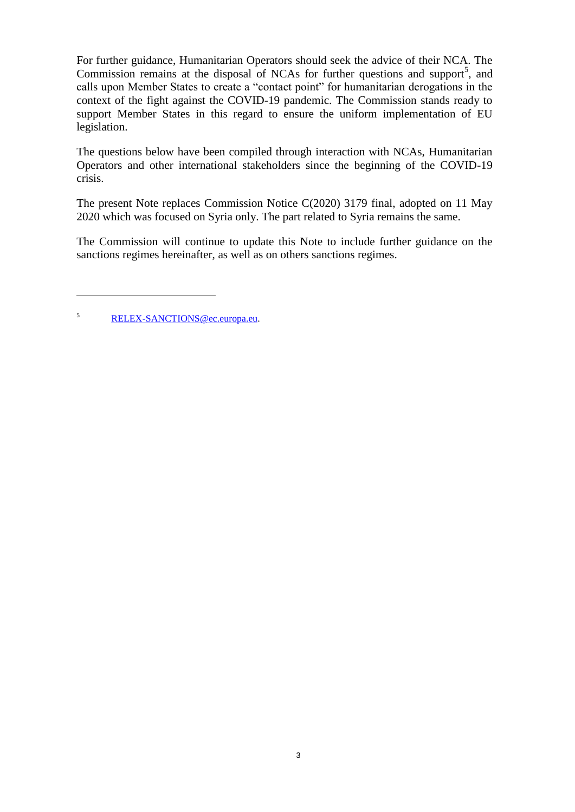For further guidance, Humanitarian Operators should seek the advice of their NCA. The Commission remains at the disposal of NCAs for further questions and support<sup>5</sup>, and calls upon Member States to create a "contact point" for humanitarian derogations in the context of the fight against the COVID-19 pandemic. The Commission stands ready to support Member States in this regard to ensure the uniform implementation of EU legislation.

The questions below have been compiled through interaction with NCAs, Humanitarian Operators and other international stakeholders since the beginning of the COVID-19 crisis.

The present Note replaces Commission Notice C(2020) 3179 final, adopted on 11 May 2020 which was focused on Syria only. The part related to Syria remains the same.

The Commission will continue to update this Note to include further guidance on the sanctions regimes hereinafter, as well as on others sanctions regimes.

<sup>5</sup> [RELEX-SANCTIONS@ec.europa.eu.](mailto:RELEX-SANCTIONS@ec.europa.eu)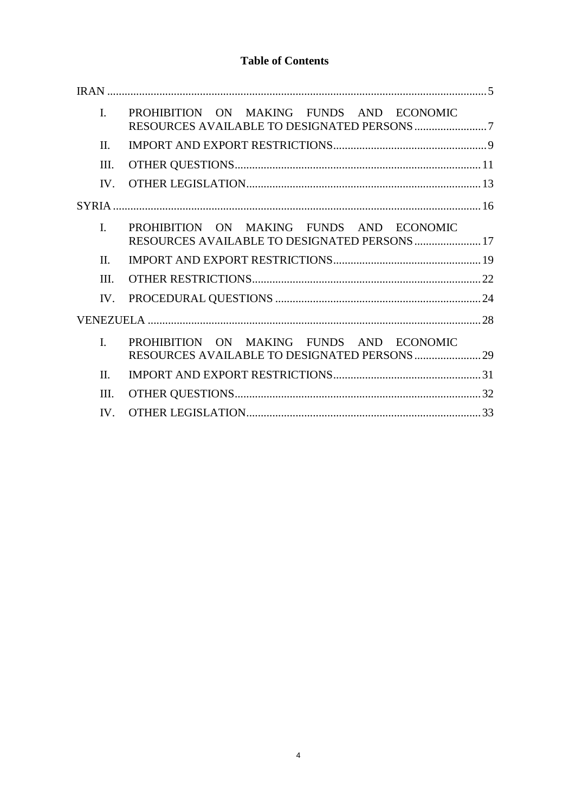# **Table of Contents**

| $\mathbf{I}$ . | PROHIBITION ON MAKING FUNDS AND ECONOMIC                                                 |
|----------------|------------------------------------------------------------------------------------------|
| $\Pi$          |                                                                                          |
| III.           |                                                                                          |
| IV.            |                                                                                          |
|                |                                                                                          |
| $\mathbf{I}$   | PROHIBITION ON MAKING FUNDS AND ECONOMIC<br>RESOURCES AVAILABLE TO DESIGNATED PERSONS 17 |
| $\Pi$          |                                                                                          |
| HI.            |                                                                                          |
| $IV_{-}$       |                                                                                          |
|                |                                                                                          |
| $\mathbf{I}$ . | PROHIBITION ON MAKING FUNDS AND ECONOMIC                                                 |
| $\Pi$          |                                                                                          |
| III.           |                                                                                          |
| IV.            |                                                                                          |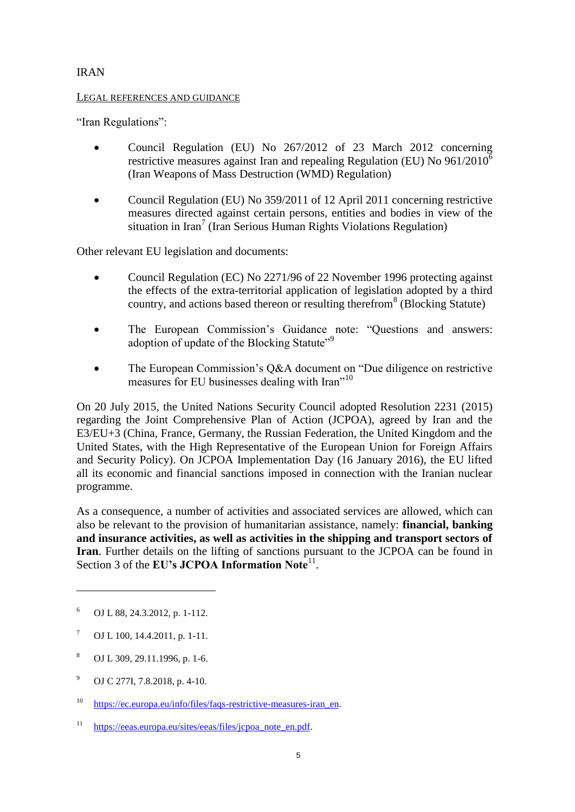# <span id="page-5-0"></span>IRAN

### LEGAL REFERENCES AND GUIDANCE

"Iran Regulations":

- Council Regulation (EU) No 267/2012 of 23 March 2012 concerning restrictive measures against Iran and repealing Regulation (EU) No  $961/2010^6$ (Iran Weapons of Mass Destruction (WMD) Regulation)
- Council Regulation (EU) No 359/2011 of 12 April 2011 concerning restrictive measures directed against certain persons, entities and bodies in view of the situation in Iran<sup>7</sup> (Iran Serious Human Rights Violations Regulation)

Other relevant EU legislation and documents:

- Council Regulation (EC) No 2271/96 of 22 November 1996 protecting against the effects of the extra-territorial application of legislation adopted by a third country, and actions based thereon or resulting therefrom<sup>8</sup> (Blocking Statute)
- The European Commission's Guidance note: "Questions and answers: adoption of update of the Blocking Statute<sup>"9</sup>
- The European Commission's Q&A document on "Due diligence on restrictive measures for EU businesses dealing with Iran"<sup>10</sup>

On 20 July 2015, the United Nations Security Council adopted Resolution 2231 (2015) regarding the Joint Comprehensive Plan of Action (JCPOA), agreed by Iran and the E3/EU+3 (China, France, Germany, the Russian Federation, the United Kingdom and the United States, with the High Representative of the European Union for Foreign Affairs and Security Policy). On JCPOA Implementation Day (16 January 2016), the EU lifted all its economic and financial sanctions imposed in connection with the Iranian nuclear programme.

As a consequence, a number of activities and associated services are allowed, which can also be relevant to the provision of humanitarian assistance, namely: **financial, banking and insurance activities, as well as activities in the shipping and transport sectors of Iran**. Further details on the lifting of sanctions pursuant to the JCPOA can be found in Section 3 of the EU's JCPOA Information Note<sup>11</sup>.

<sup>6</sup> OJ L 88, 24.3.2012, p. 1-112.

 $7 \quad$  OJ L 100, 14.4.2011, p. 1-11.

<sup>8</sup> OJ L 309, 29.11.1996, p. 1-6.

<sup>9</sup> OJ C 277I, 7.8.2018, p. 4-10.

<sup>&</sup>lt;sup>10</sup> https://ec.europa.eu/info/files/faqs-restrictive-measures-iran en.

<sup>&</sup>lt;sup>11</sup> https://eeas.europa.eu/sites/eeas/files/jcpoa\_note\_en.pdf.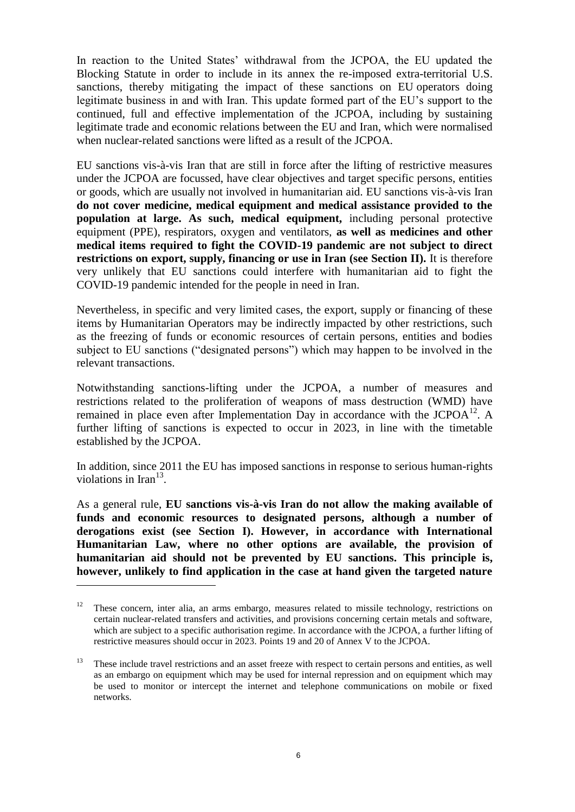In reaction to the United States' withdrawal from the JCPOA, the EU updated the Blocking Statute in order to include in its annex the re-imposed extra-territorial U.S. sanctions, thereby mitigating the impact of these sanctions on EU operators doing legitimate business in and with Iran. This update formed part of the EU's support to the continued, full and effective implementation of the JCPOA, including by sustaining legitimate trade and economic relations between the EU and Iran, which were normalised when nuclear-related sanctions were lifted as a result of the JCPOA.

EU sanctions vis-à-vis Iran that are still in force after the lifting of restrictive measures under the JCPOA are focussed, have clear objectives and target specific persons, entities or goods, which are usually not involved in humanitarian aid. EU sanctions vis-à-vis Iran **do not cover medicine, medical equipment and medical assistance provided to the population at large. As such, medical equipment,** including personal protective equipment (PPE), respirators, oxygen and ventilators, **as well as medicines and other medical items required to fight the COVID-19 pandemic are not subject to direct restrictions on export, supply, financing or use in Iran (see Section II).** It is therefore very unlikely that EU sanctions could interfere with humanitarian aid to fight the COVID-19 pandemic intended for the people in need in Iran.

Nevertheless, in specific and very limited cases, the export, supply or financing of these items by Humanitarian Operators may be indirectly impacted by other restrictions, such as the freezing of funds or economic resources of certain persons, entities and bodies subject to EU sanctions ("designated persons") which may happen to be involved in the relevant transactions.

Notwithstanding sanctions-lifting under the JCPOA, a number of measures and restrictions related to the proliferation of weapons of mass destruction (WMD) have remained in place even after Implementation Day in accordance with the  $JCPOA^{12}$ . A further lifting of sanctions is expected to occur in 2023, in line with the timetable established by the JCPOA.

In addition, since 2011 the EU has imposed sanctions in response to serious human-rights violations in Iran $^{13}$ .

As a general rule, **EU sanctions vis-à-vis Iran do not allow the making available of funds and economic resources to designated persons, although a number of derogations exist (see Section I). However, in accordance with International Humanitarian Law, where no other options are available, the provision of humanitarian aid should not be prevented by EU sanctions. This principle is, however, unlikely to find application in the case at hand given the targeted nature** 

 $12$  These concern, inter alia, an arms embargo, measures related to missile technology, restrictions on certain nuclear-related transfers and activities, and provisions concerning certain metals and software, which are subject to a specific authorisation regime. In accordance with the JCPOA, a further lifting of restrictive measures should occur in 2023. Points 19 and 20 of Annex V to the JCPOA.

<sup>&</sup>lt;sup>13</sup> These include travel restrictions and an asset freeze with respect to certain persons and entities, as well as an embargo on equipment which may be used for internal repression and on equipment which may be used to monitor or intercept the internet and telephone communications on mobile or fixed networks.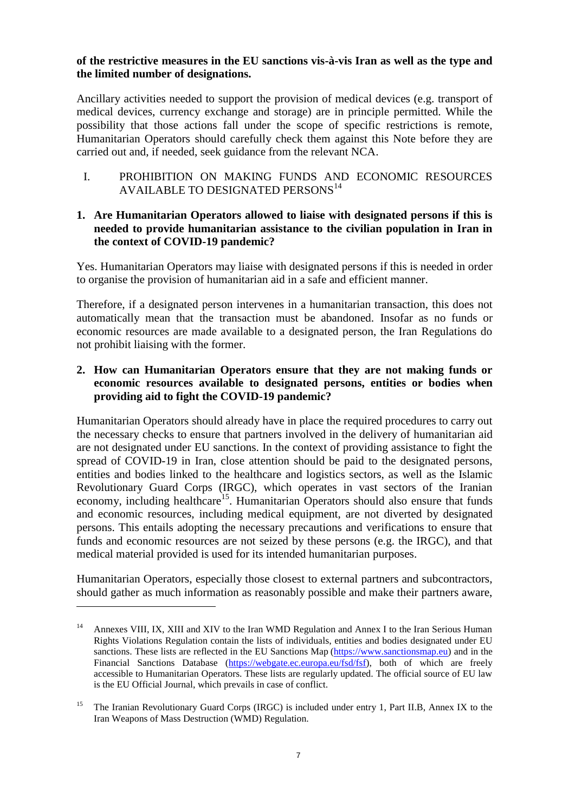### **of the restrictive measures in the EU sanctions vis-à-vis Iran as well as the type and the limited number of designations.**

Ancillary activities needed to support the provision of medical devices (e.g. transport of medical devices, currency exchange and storage) are in principle permitted. While the possibility that those actions fall under the scope of specific restrictions is remote, Humanitarian Operators should carefully check them against this Note before they are carried out and, if needed, seek guidance from the relevant NCA.

<span id="page-7-0"></span>I. PROHIBITION ON MAKING FUNDS AND ECONOMIC RESOURCES AVAILABLE TO DESIGNATED PERSONS<sup>14</sup>

# **1. Are Humanitarian Operators allowed to liaise with designated persons if this is needed to provide humanitarian assistance to the civilian population in Iran in the context of COVID-19 pandemic?**

Yes. Humanitarian Operators may liaise with designated persons if this is needed in order to organise the provision of humanitarian aid in a safe and efficient manner.

Therefore, if a designated person intervenes in a humanitarian transaction, this does not automatically mean that the transaction must be abandoned. Insofar as no funds or economic resources are made available to a designated person, the Iran Regulations do not prohibit liaising with the former.

### **2. How can Humanitarian Operators ensure that they are not making funds or economic resources available to designated persons, entities or bodies when providing aid to fight the COVID-19 pandemic?**

Humanitarian Operators should already have in place the required procedures to carry out the necessary checks to ensure that partners involved in the delivery of humanitarian aid are not designated under EU sanctions. In the context of providing assistance to fight the spread of COVID-19 in Iran, close attention should be paid to the designated persons, entities and bodies linked to the healthcare and logistics sectors, as well as the Islamic Revolutionary Guard Corps (IRGC), which operates in vast sectors of the Iranian economy, including healthcare<sup>15</sup>. Humanitarian Operators should also ensure that funds and economic resources, including medical equipment, are not diverted by designated persons. This entails adopting the necessary precautions and verifications to ensure that funds and economic resources are not seized by these persons (e.g. the IRGC), and that medical material provided is used for its intended humanitarian purposes.

Humanitarian Operators, especially those closest to external partners and subcontractors, should gather as much information as reasonably possible and make their partners aware,

<sup>&</sup>lt;sup>14</sup> Annexes VIII, IX, XIII and XIV to the Iran WMD Regulation and Annex I to the Iran Serious Human Rights Violations Regulation contain the lists of individuals, entities and bodies designated under EU sanctions. These lists are reflected in the EU Sanctions Map [\(https://www.sanctionsmap.eu\)](https://www.sanctionsmap.eu/) and in the Financial Sanctions Database [\(https://webgate.ec.europa.eu/fsd/fsf\)](https://webgate.ec.europa.eu/fsd/fsf), both of which are freely accessible to Humanitarian Operators. These lists are regularly updated. The official source of EU law is the EU Official Journal, which prevails in case of conflict.

<sup>&</sup>lt;sup>15</sup> The Iranian Revolutionary Guard Corps (IRGC) is included under entry 1, Part II.B, Annex IX to the Iran Weapons of Mass Destruction (WMD) Regulation.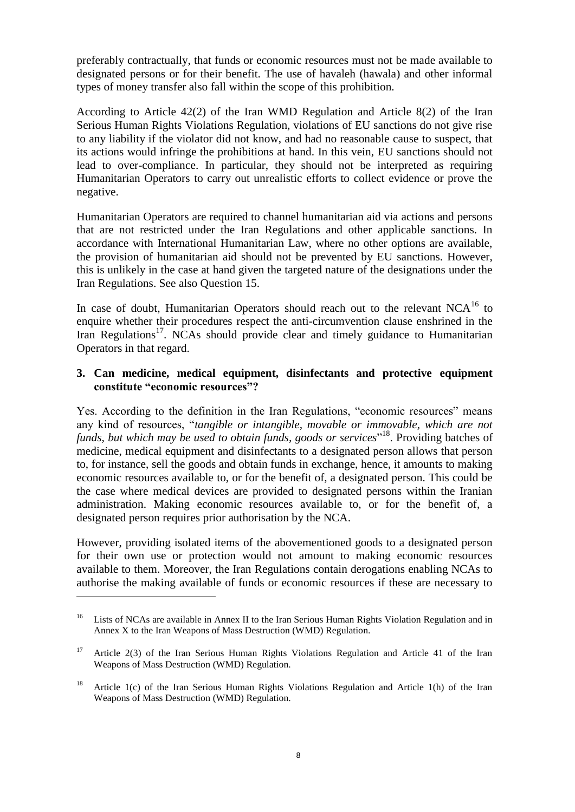preferably contractually, that funds or economic resources must not be made available to designated persons or for their benefit. The use of havaleh (hawala) and other informal types of money transfer also fall within the scope of this prohibition.

According to Article 42(2) of the Iran WMD Regulation and Article 8(2) of the Iran Serious Human Rights Violations Regulation, violations of EU sanctions do not give rise to any liability if the violator did not know, and had no reasonable cause to suspect, that its actions would infringe the prohibitions at hand. In this vein, EU sanctions should not lead to over-compliance. In particular, they should not be interpreted as requiring Humanitarian Operators to carry out unrealistic efforts to collect evidence or prove the negative.

Humanitarian Operators are required to channel humanitarian aid via actions and persons that are not restricted under the Iran Regulations and other applicable sanctions. In accordance with International Humanitarian Law, where no other options are available, the provision of humanitarian aid should not be prevented by EU sanctions. However, this is unlikely in the case at hand given the targeted nature of the designations under the Iran Regulations. See also Question 15.

In case of doubt, Humanitarian Operators should reach out to the relevant  $NCA^{16}$  to enquire whether their procedures respect the anti-circumvention clause enshrined in the Iran Regulations<sup>17</sup>. NCAs should provide clear and timely guidance to Humanitarian Operators in that regard.

### **3. Can medicine, medical equipment, disinfectants and protective equipment constitute "economic resources"?**

Yes. According to the definition in the Iran Regulations, "economic resources" means any kind of resources, "*tangible or intangible, movable or immovable, which are not funds, but which may be used to obtain funds, goods or services*" <sup>18</sup>. Providing batches of medicine, medical equipment and disinfectants to a designated person allows that person to, for instance, sell the goods and obtain funds in exchange, hence, it amounts to making economic resources available to, or for the benefit of, a designated person. This could be the case where medical devices are provided to designated persons within the Iranian administration. Making economic resources available to, or for the benefit of, a designated person requires prior authorisation by the NCA.

However, providing isolated items of the abovementioned goods to a designated person for their own use or protection would not amount to making economic resources available to them. Moreover, the Iran Regulations contain derogations enabling NCAs to authorise the making available of funds or economic resources if these are necessary to

<sup>&</sup>lt;sup>16</sup> Lists of NCAs are available in Annex II to the Iran Serious Human Rights Violation Regulation and in Annex X to the Iran Weapons of Mass Destruction (WMD) Regulation.

<sup>&</sup>lt;sup>17</sup> Article 2(3) of the Iran Serious Human Rights Violations Regulation and Article 41 of the Iran Weapons of Mass Destruction (WMD) Regulation.

<sup>&</sup>lt;sup>18</sup> Article 1(c) of the Iran Serious Human Rights Violations Regulation and Article 1(h) of the Iran Weapons of Mass Destruction (WMD) Regulation.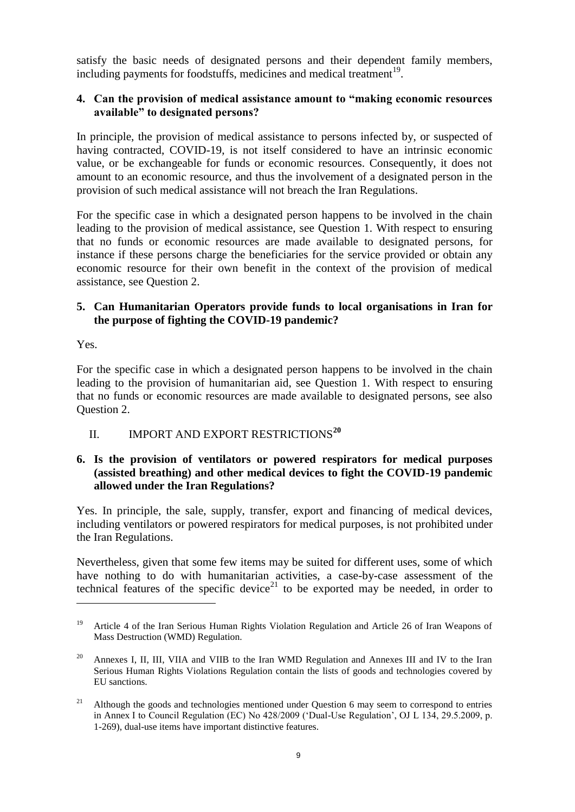satisfy the basic needs of designated persons and their dependent family members, including payments for foodstuffs, medicines and medical treatment<sup>19</sup>.

### **4. Can the provision of medical assistance amount to "making economic resources available" to designated persons?**

In principle, the provision of medical assistance to persons infected by, or suspected of having contracted, COVID-19, is not itself considered to have an intrinsic economic value, or be exchangeable for funds or economic resources. Consequently, it does not amount to an economic resource, and thus the involvement of a designated person in the provision of such medical assistance will not breach the Iran Regulations.

For the specific case in which a designated person happens to be involved in the chain leading to the provision of medical assistance, see Question 1. With respect to ensuring that no funds or economic resources are made available to designated persons, for instance if these persons charge the beneficiaries for the service provided or obtain any economic resource for their own benefit in the context of the provision of medical assistance, see Question 2.

# **5. Can Humanitarian Operators provide funds to local organisations in Iran for the purpose of fighting the COVID-19 pandemic?**

Yes.

 $\overline{a}$ 

For the specific case in which a designated person happens to be involved in the chain leading to the provision of humanitarian aid, see Question 1. With respect to ensuring that no funds or economic resources are made available to designated persons, see also Question 2.

# <span id="page-9-0"></span>II. **IMPORT AND EXPORT RESTRICTIONS<sup>20</sup>**

# **6. Is the provision of ventilators or powered respirators for medical purposes (assisted breathing) and other medical devices to fight the COVID-19 pandemic allowed under the Iran Regulations?**

Yes. In principle, the sale, supply, transfer, export and financing of medical devices, including ventilators or powered respirators for medical purposes, is not prohibited under the Iran Regulations.

Nevertheless, given that some few items may be suited for different uses, some of which have nothing to do with humanitarian activities, a case-by-case assessment of the technical features of the specific device<sup>21</sup> to be exported may be needed, in order to

<sup>&</sup>lt;sup>19</sup> Article 4 of the Iran Serious Human Rights Violation Regulation and Article 26 of Iran Weapons of Mass Destruction (WMD) Regulation.

<sup>&</sup>lt;sup>20</sup> Annexes I, II, III, VIIA and VIIB to the Iran WMD Regulation and Annexes III and IV to the Iran Serious Human Rights Violations Regulation contain the lists of goods and technologies covered by EU sanctions.

<sup>&</sup>lt;sup>21</sup> Although the goods and technologies mentioned under Question 6 may seem to correspond to entries in Annex I to Council Regulation (EC) No 428/2009 ('Dual-Use Regulation', OJ L 134, 29.5.2009, p. 1-269), dual-use items have important distinctive features.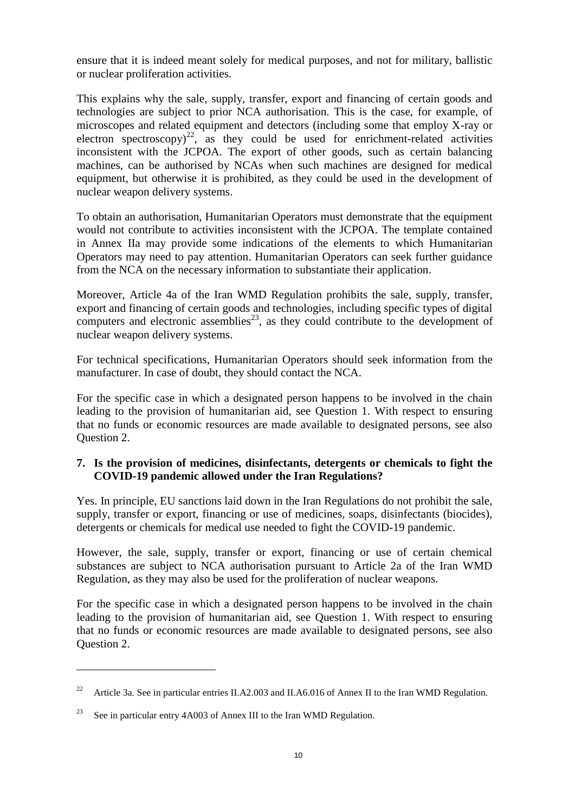ensure that it is indeed meant solely for medical purposes, and not for military, ballistic or nuclear proliferation activities.

This explains why the sale, supply, transfer, export and financing of certain goods and technologies are subject to prior NCA authorisation. This is the case, for example, of microscopes and related equipment and detectors (including some that employ X-ray or electron spectroscopy)<sup>22</sup>, as they could be used for enrichment-related activities inconsistent with the JCPOA. The export of other goods, such as certain balancing machines, can be authorised by NCAs when such machines are designed for medical equipment, but otherwise it is prohibited, as they could be used in the development of nuclear weapon delivery systems.

To obtain an authorisation, Humanitarian Operators must demonstrate that the equipment would not contribute to activities inconsistent with the JCPOA. The template contained in Annex IIa may provide some indications of the elements to which Humanitarian Operators may need to pay attention. Humanitarian Operators can seek further guidance from the NCA on the necessary information to substantiate their application.

Moreover, Article 4a of the Iran WMD Regulation prohibits the sale, supply, transfer, export and financing of certain goods and technologies, including specific types of digital computers and electronic assemblies<sup>23</sup>, as they could contribute to the development of nuclear weapon delivery systems.

For technical specifications, Humanitarian Operators should seek information from the manufacturer. In case of doubt, they should contact the NCA.

For the specific case in which a designated person happens to be involved in the chain leading to the provision of humanitarian aid, see Question 1. With respect to ensuring that no funds or economic resources are made available to designated persons, see also Question 2.

### **7. Is the provision of medicines, disinfectants, detergents or chemicals to fight the COVID-19 pandemic allowed under the Iran Regulations?**

Yes. In principle, EU sanctions laid down in the Iran Regulations do not prohibit the sale, supply, transfer or export, financing or use of medicines, soaps, disinfectants (biocides), detergents or chemicals for medical use needed to fight the COVID-19 pandemic.

However, the sale, supply, transfer or export, financing or use of certain chemical substances are subject to NCA authorisation pursuant to Article 2a of the Iran WMD Regulation, as they may also be used for the proliferation of nuclear weapons.

For the specific case in which a designated person happens to be involved in the chain leading to the provision of humanitarian aid, see Question 1. With respect to ensuring that no funds or economic resources are made available to designated persons, see also Question 2.

<sup>&</sup>lt;sup>22</sup> Article 3a. See in particular entries II.A2.003 and II.A6.016 of Annex II to the Iran WMD Regulation.

<sup>&</sup>lt;sup>23</sup> See in particular entry 4A003 of Annex III to the Iran WMD Regulation.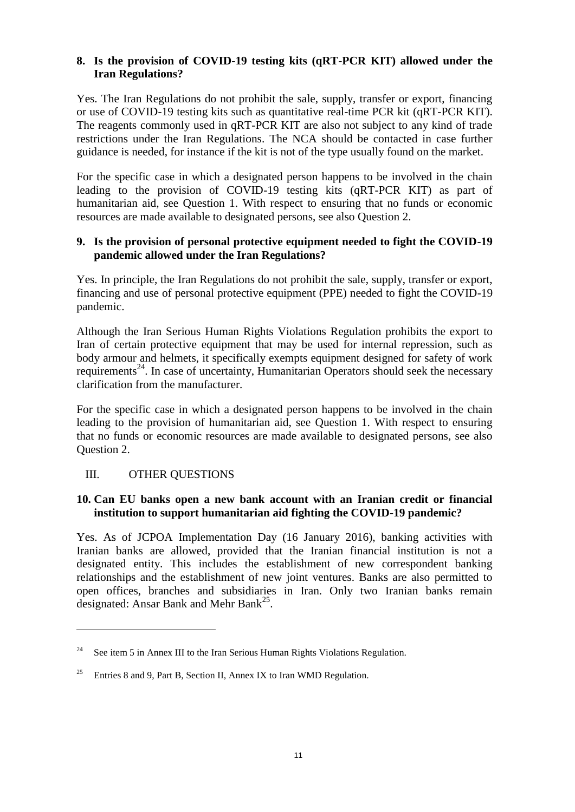# **8. Is the provision of COVID-19 testing kits (qRT-PCR KIT) allowed under the Iran Regulations?**

Yes. The Iran Regulations do not prohibit the sale, supply, transfer or export, financing or use of COVID-19 testing kits such as quantitative real-time PCR kit (qRT-PCR KIT). The reagents commonly used in qRT-PCR KIT are also not subject to any kind of trade restrictions under the Iran Regulations. The NCA should be contacted in case further guidance is needed, for instance if the kit is not of the type usually found on the market.

For the specific case in which a designated person happens to be involved in the chain leading to the provision of COVID-19 testing kits (qRT-PCR KIT) as part of humanitarian aid, see Question 1. With respect to ensuring that no funds or economic resources are made available to designated persons, see also Question 2.

# **9. Is the provision of personal protective equipment needed to fight the COVID-19 pandemic allowed under the Iran Regulations?**

Yes. In principle, the Iran Regulations do not prohibit the sale, supply, transfer or export, financing and use of personal protective equipment (PPE) needed to fight the COVID-19 pandemic.

Although the Iran Serious Human Rights Violations Regulation prohibits the export to Iran of certain protective equipment that may be used for internal repression, such as body armour and helmets, it specifically exempts equipment designed for safety of work requirements<sup>24</sup>. In case of uncertainty, Humanitarian Operators should seek the necessary clarification from the manufacturer.

For the specific case in which a designated person happens to be involved in the chain leading to the provision of humanitarian aid, see Question 1. With respect to ensuring that no funds or economic resources are made available to designated persons, see also Question 2.

# <span id="page-11-0"></span>III. OTHER QUESTIONS

 $\overline{a}$ 

### **10. Can EU banks open a new bank account with an Iranian credit or financial institution to support humanitarian aid fighting the COVID-19 pandemic?**

Yes. As of JCPOA Implementation Day (16 January 2016), banking activities with Iranian banks are allowed, provided that the Iranian financial institution is not a designated entity. This includes the establishment of new correspondent banking relationships and the establishment of new joint ventures. Banks are also permitted to open offices, branches and subsidiaries in Iran. Only two Iranian banks remain designated: Ansar Bank and Mehr Bank<sup>25</sup>.

<sup>&</sup>lt;sup>24</sup> See item 5 in Annex III to the Iran Serious Human Rights Violations Regulation.

<sup>&</sup>lt;sup>25</sup> Entries 8 and 9, Part B, Section II, Annex IX to Iran WMD Regulation.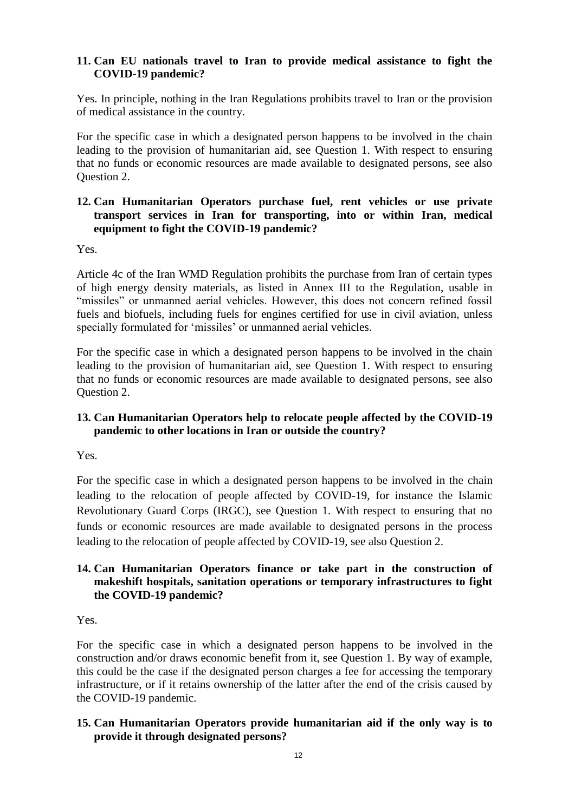# **11. Can EU nationals travel to Iran to provide medical assistance to fight the COVID-19 pandemic?**

Yes. In principle, nothing in the Iran Regulations prohibits travel to Iran or the provision of medical assistance in the country.

For the specific case in which a designated person happens to be involved in the chain leading to the provision of humanitarian aid, see Question 1. With respect to ensuring that no funds or economic resources are made available to designated persons, see also Question 2.

# **12. Can Humanitarian Operators purchase fuel, rent vehicles or use private transport services in Iran for transporting, into or within Iran, medical equipment to fight the COVID-19 pandemic?**

Yes.

Article 4c of the Iran WMD Regulation prohibits the purchase from Iran of certain types of high energy density materials, as listed in Annex III to the Regulation, usable in "missiles" or unmanned aerial vehicles. However, this does not concern refined fossil fuels and biofuels, including fuels for engines certified for use in civil aviation, unless specially formulated for 'missiles' or unmanned aerial vehicles.

For the specific case in which a designated person happens to be involved in the chain leading to the provision of humanitarian aid, see Question 1. With respect to ensuring that no funds or economic resources are made available to designated persons, see also Question 2.

# **13. Can Humanitarian Operators help to relocate people affected by the COVID-19 pandemic to other locations in Iran or outside the country?**

Yes.

For the specific case in which a designated person happens to be involved in the chain leading to the relocation of people affected by COVID-19, for instance the Islamic Revolutionary Guard Corps (IRGC), see Question 1. With respect to ensuring that no funds or economic resources are made available to designated persons in the process leading to the relocation of people affected by COVID-19, see also Question 2.

# **14. Can Humanitarian Operators finance or take part in the construction of makeshift hospitals, sanitation operations or temporary infrastructures to fight the COVID-19 pandemic?**

Yes.

For the specific case in which a designated person happens to be involved in the construction and/or draws economic benefit from it, see Question 1. By way of example, this could be the case if the designated person charges a fee for accessing the temporary infrastructure, or if it retains ownership of the latter after the end of the crisis caused by the COVID-19 pandemic.

# **15. Can Humanitarian Operators provide humanitarian aid if the only way is to provide it through designated persons?**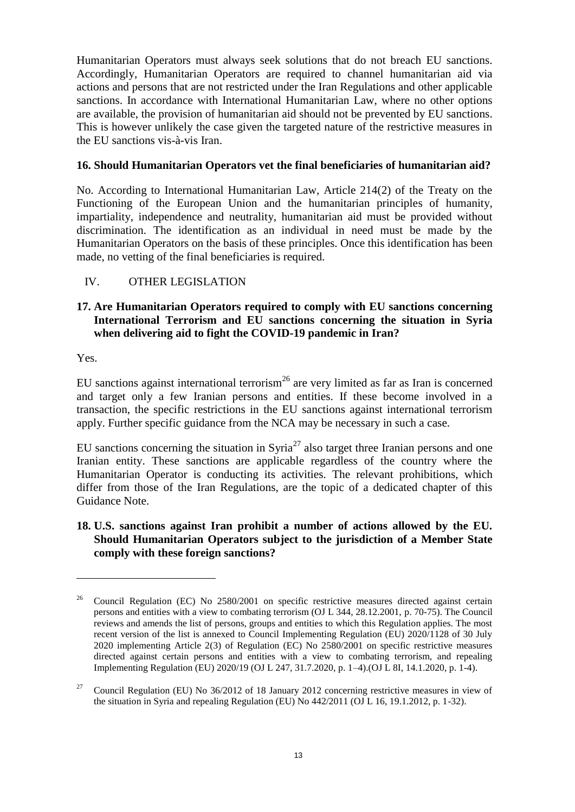Humanitarian Operators must always seek solutions that do not breach EU sanctions. Accordingly, Humanitarian Operators are required to channel humanitarian aid via actions and persons that are not restricted under the Iran Regulations and other applicable sanctions. In accordance with International Humanitarian Law, where no other options are available, the provision of humanitarian aid should not be prevented by EU sanctions. This is however unlikely the case given the targeted nature of the restrictive measures in the EU sanctions vis-à-vis Iran.

### **16. Should Humanitarian Operators vet the final beneficiaries of humanitarian aid?**

No. According to International Humanitarian Law, Article 214(2) of the Treaty on the Functioning of the European Union and the humanitarian principles of humanity, impartiality, independence and neutrality, humanitarian aid must be provided without discrimination. The identification as an individual in need must be made by the Humanitarian Operators on the basis of these principles. Once this identification has been made, no vetting of the final beneficiaries is required.

# <span id="page-13-0"></span>IV. OTHER LEGISLATION

# **17. Are Humanitarian Operators required to comply with EU sanctions concerning International Terrorism and EU sanctions concerning the situation in Syria when delivering aid to fight the COVID-19 pandemic in Iran?**

Yes.

 $\overline{a}$ 

EU sanctions against international terrorism<sup>26</sup> are very limited as far as Iran is concerned and target only a few Iranian persons and entities. If these become involved in a transaction, the specific restrictions in the EU sanctions against international terrorism apply. Further specific guidance from the NCA may be necessary in such a case.

EU sanctions concerning the situation in Syria<sup>27</sup> also target three Iranian persons and one Iranian entity. These sanctions are applicable regardless of the country where the Humanitarian Operator is conducting its activities. The relevant prohibitions, which differ from those of the Iran Regulations, are the topic of a dedicated chapter of this Guidance Note.

# **18. U.S. sanctions against Iran prohibit a number of actions allowed by the EU. Should Humanitarian Operators subject to the jurisdiction of a Member State comply with these foreign sanctions?**

<sup>26</sup> Council Regulation (EC) No 2580/2001 on specific restrictive measures directed against certain persons and entities with a view to combating terrorism (OJ L 344, 28.12.2001, p. 70-75). The Council reviews and amends the list of persons, groups and entities to which this Regulation applies. The most recent version of the list is annexed to Council Implementing Regulation (EU) 2020/1128 of 30 July 2020 implementing Article 2(3) of Regulation (EC) No 2580/2001 on specific restrictive measures directed against certain persons and entities with a view to combating terrorism, and repealing Implementing Regulation (EU) 2020/19 (OJ L 247, 31.7.2020, p. 1–4).(OJ L 8I, 14.1.2020, p. 1-4).

<sup>27</sup> Council Regulation (EU) No 36/2012 of 18 January 2012 concerning restrictive measures in view of the situation in Syria and repealing Regulation (EU) No 442/2011 (OJ L 16, 19.1.2012, p. 1-32).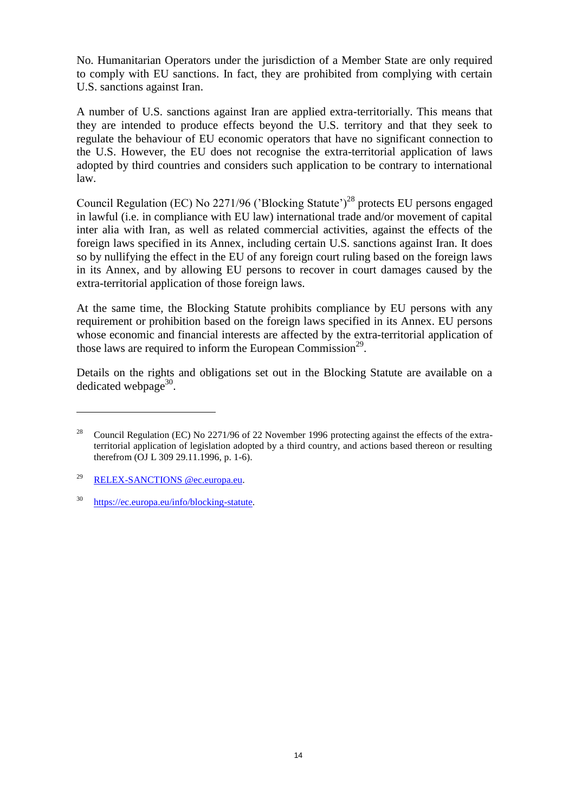No. Humanitarian Operators under the jurisdiction of a Member State are only required to comply with EU sanctions. In fact, they are prohibited from complying with certain U.S. sanctions against Iran.

A number of U.S. sanctions against Iran are applied extra-territorially. This means that they are intended to produce effects beyond the U.S. territory and that they seek to regulate the behaviour of EU economic operators that have no significant connection to the U.S. However, the EU does not recognise the extra-territorial application of laws adopted by third countries and considers such application to be contrary to international law.

Council Regulation (EC) No  $2271/96$  ('Blocking Statute')<sup>28</sup> protects EU persons engaged in lawful (i.e. in compliance with EU law) international trade and/or movement of capital inter alia with Iran, as well as related commercial activities, against the effects of the foreign laws specified in its Annex, including certain U.S. sanctions against Iran. It does so by nullifying the effect in the EU of any foreign court ruling based on the foreign laws in its Annex, and by allowing EU persons to recover in court damages caused by the extra-territorial application of those foreign laws.

At the same time, the Blocking Statute prohibits compliance by EU persons with any requirement or prohibition based on the foreign laws specified in its Annex. EU persons whose economic and financial interests are affected by the extra-territorial application of those laws are required to inform the European Commission<sup>29</sup>.

Details on the rights and obligations set out in the Blocking Statute are available on a dedicated webpage $30$ .

<sup>&</sup>lt;sup>28</sup> Council Regulation (EC) No 2271/96 of 22 November 1996 protecting against the effects of the extraterritorial application of legislation adopted by a third country, and actions based thereon or resulting therefrom (OJ L 309 29.11.1996, p. 1-6).

<sup>29</sup> [RELEX-SANCTIONS @ec.europa.eu.](mailto:RELEX-SANCTIONS%20@ec.europa.eu)

<sup>30</sup> [https://ec.europa.eu/info/blocking-statute.](https://ec.europa.eu/info/blocking-statute)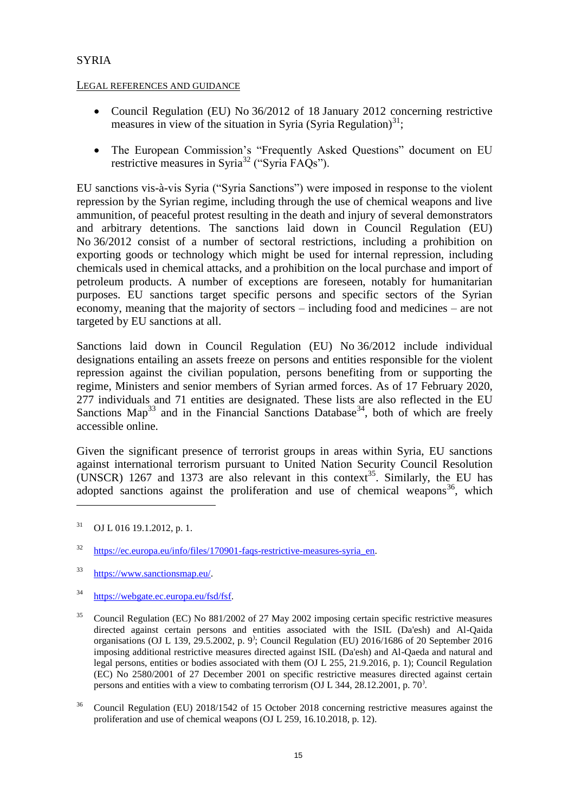# <span id="page-15-0"></span>**SYRIA**

### LEGAL REFERENCES AND GUIDANCE

- Council Regulation (EU) No 36/2012 of 18 January 2012 concerning restrictive measures in view of the situation in Syria (Syria Regulation) $^{31}$ ;
- The European Commission's "Frequently Asked Questions" document on EU restrictive measures in Syria<sup>32</sup> ("Syria FAQs").

EU sanctions vis-à-vis Syria ("Syria Sanctions") were imposed in response to the violent repression by the Syrian regime, including through the use of chemical weapons and live ammunition, of peaceful protest resulting in the death and injury of several demonstrators and arbitrary detentions. The sanctions laid down in Council Regulation (EU) No 36/2012 consist of a number of sectoral restrictions, including a prohibition on exporting goods or technology which might be used for internal repression, including chemicals used in chemical attacks, and a prohibition on the local purchase and import of petroleum products. A number of exceptions are foreseen, notably for humanitarian purposes. EU sanctions target specific persons and specific sectors of the Syrian economy, meaning that the majority of sectors – including food and medicines – are not targeted by EU sanctions at all.

Sanctions laid down in Council Regulation (EU) No 36/2012 include individual designations entailing an assets freeze on persons and entities responsible for the violent repression against the civilian population, persons benefiting from or supporting the regime, Ministers and senior members of Syrian armed forces. As of 17 February 2020, 277 individuals and 71 entities are designated. These lists are also reflected in the EU Sanctions Map<sup>33</sup> and in the Financial Sanctions Database<sup>34</sup>, both of which are freely accessible online.

Given the significant presence of terrorist groups in areas within Syria, EU sanctions against international terrorism pursuant to United Nation Security Council Resolution (UNSCR) 1267 and 1373 are also relevant in this context<sup>35</sup>. Similarly, the EU has adopted sanctions against the proliferation and use of chemical weapons<sup>36</sup>, which

 $31$  OJ L 016 19.1.2012, p. 1.

<sup>&</sup>lt;sup>32</sup> https://ec.europa.eu/info/files/170901-faqs-restrictive-measures-syria en.

<sup>33</sup> [https://www.sanctionsmap.eu/.](https://www.sanctionsmap.eu/) 

<sup>34</sup> [https://webgate.ec.europa.eu/fsd/fsf.](https://webgate.ec.europa.eu/fsd/fsf) 

<sup>&</sup>lt;sup>35</sup> Council Regulation (EC) No 881/2002 of 27 May 2002 imposing certain specific restrictive measures directed against certain persons and entities associated with the ISIL (Da'esh) and Al-Qaida organisations (OJ L 139, 29.5.2002, p. 9) ; Council Regulation (EU) 2016/1686 of 20 September 2016 imposing additional restrictive measures directed against ISIL (Da'esh) and Al-Qaeda and natural and legal persons, entities or bodies associated with them (OJ L 255, 21.9.2016, p. 1); Council Regulation (EC) No 2580/2001 of 27 December 2001 on specific restrictive measures directed against certain persons and entities with a view to combating terrorism (OJ L 344, 28.12.2001, p. 70<sup>)</sup>.

<sup>&</sup>lt;sup>36</sup> Council Regulation (EU) 2018/1542 of 15 October 2018 concerning restrictive measures against the proliferation and use of chemical weapons (OJ L 259, 16.10.2018, p. 12).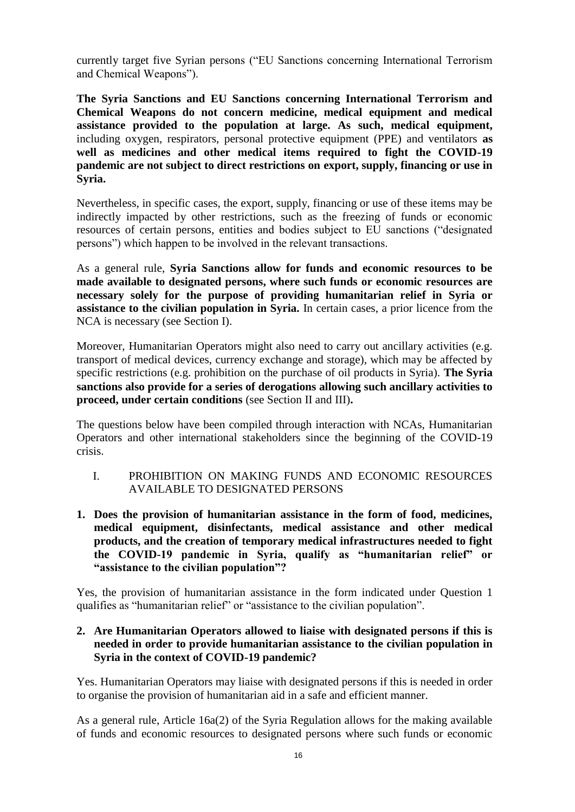currently target five Syrian persons ("EU Sanctions concerning International Terrorism and Chemical Weapons").

**The Syria Sanctions and EU Sanctions concerning International Terrorism and Chemical Weapons do not concern medicine, medical equipment and medical assistance provided to the population at large. As such, medical equipment,**  including oxygen, respirators, personal protective equipment (PPE) and ventilators **as well as medicines and other medical items required to fight the COVID-19 pandemic are not subject to direct restrictions on export, supply, financing or use in Syria.** 

Nevertheless, in specific cases, the export, supply, financing or use of these items may be indirectly impacted by other restrictions, such as the freezing of funds or economic resources of certain persons, entities and bodies subject to EU sanctions ("designated persons") which happen to be involved in the relevant transactions.

As a general rule, **Syria Sanctions allow for funds and economic resources to be made available to designated persons, where such funds or economic resources are necessary solely for the purpose of providing humanitarian relief in Syria or assistance to the civilian population in Syria.** In certain cases, a prior licence from the NCA is necessary (see Section I).

Moreover, Humanitarian Operators might also need to carry out ancillary activities (e.g. transport of medical devices, currency exchange and storage), which may be affected by specific restrictions (e.g. prohibition on the purchase of oil products in Syria). **The Syria sanctions also provide for a series of derogations allowing such ancillary activities to proceed, under certain conditions** (see Section II and III)**.**

The questions below have been compiled through interaction with NCAs, Humanitarian Operators and other international stakeholders since the beginning of the COVID-19 crisis.

- <span id="page-16-0"></span>I. PROHIBITION ON MAKING FUNDS AND ECONOMIC RESOURCES AVAILABLE TO DESIGNATED PERSONS
- **1. Does the provision of humanitarian assistance in the form of food, medicines, medical equipment, disinfectants, medical assistance and other medical products, and the creation of temporary medical infrastructures needed to fight the COVID-19 pandemic in Syria, qualify as "humanitarian relief" or "assistance to the civilian population"?**

Yes, the provision of humanitarian assistance in the form indicated under Question 1 qualifies as "humanitarian relief" or "assistance to the civilian population".

### **2. Are Humanitarian Operators allowed to liaise with designated persons if this is needed in order to provide humanitarian assistance to the civilian population in Syria in the context of COVID-19 pandemic?**

Yes. Humanitarian Operators may liaise with designated persons if this is needed in order to organise the provision of humanitarian aid in a safe and efficient manner.

As a general rule, Article 16a(2) of the Syria Regulation allows for the making available of funds and economic resources to designated persons where such funds or economic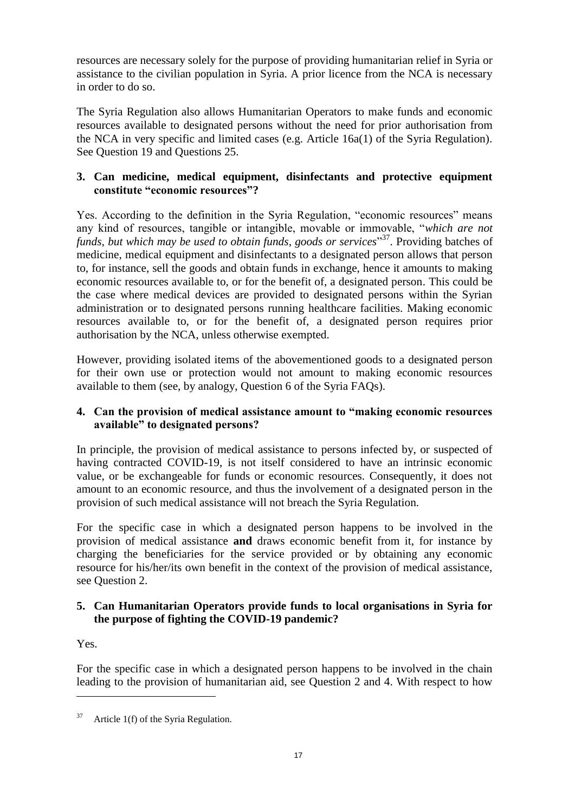resources are necessary solely for the purpose of providing humanitarian relief in Syria or assistance to the civilian population in Syria. A prior licence from the NCA is necessary in order to do so.

The Syria Regulation also allows Humanitarian Operators to make funds and economic resources available to designated persons without the need for prior authorisation from the NCA in very specific and limited cases (e.g. Article 16a(1) of the Syria Regulation). See Question 19 and Questions 25.

# **3. Can medicine, medical equipment, disinfectants and protective equipment constitute "economic resources"?**

Yes. According to the definition in the Syria Regulation, "economic resources" means any kind of resources, tangible or intangible, movable or immovable, "*which are not*  funds, but which may be used to obtain funds, goods or services<sup>37</sup>. Providing batches of medicine, medical equipment and disinfectants to a designated person allows that person to, for instance, sell the goods and obtain funds in exchange, hence it amounts to making economic resources available to, or for the benefit of, a designated person. This could be the case where medical devices are provided to designated persons within the Syrian administration or to designated persons running healthcare facilities. Making economic resources available to, or for the benefit of, a designated person requires prior authorisation by the NCA, unless otherwise exempted.

However, providing isolated items of the abovementioned goods to a designated person for their own use or protection would not amount to making economic resources available to them (see, by analogy, Question 6 of the Syria FAQs).

# **4. Can the provision of medical assistance amount to "making economic resources available" to designated persons?**

In principle, the provision of medical assistance to persons infected by, or suspected of having contracted COVID-19, is not itself considered to have an intrinsic economic value, or be exchangeable for funds or economic resources. Consequently, it does not amount to an economic resource, and thus the involvement of a designated person in the provision of such medical assistance will not breach the Syria Regulation.

For the specific case in which a designated person happens to be involved in the provision of medical assistance **and** draws economic benefit from it, for instance by charging the beneficiaries for the service provided or by obtaining any economic resource for his/her/its own benefit in the context of the provision of medical assistance, see Question 2.

# **5. Can Humanitarian Operators provide funds to local organisations in Syria for the purpose of fighting the COVID-19 pandemic?**

Yes.

 $\overline{a}$ 

For the specific case in which a designated person happens to be involved in the chain leading to the provision of humanitarian aid, see Question 2 and 4. With respect to how

 $37$  Article 1(f) of the Syria Regulation.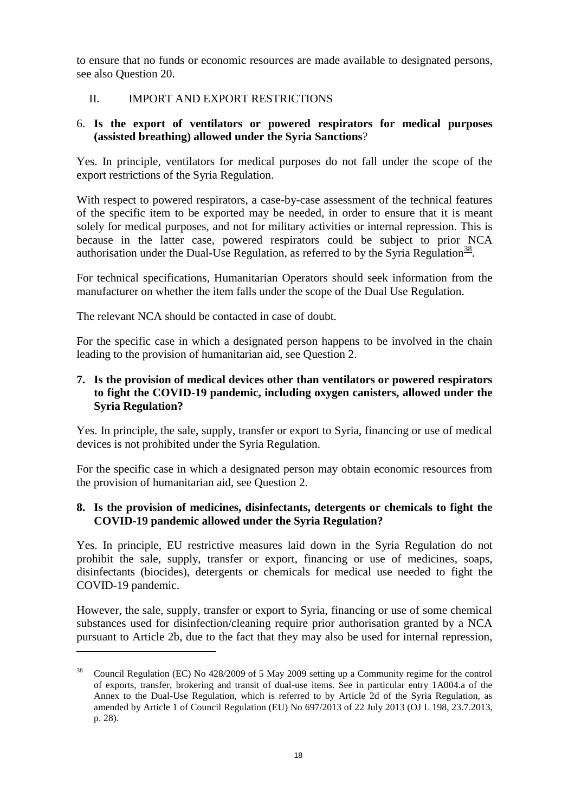to ensure that no funds or economic resources are made available to designated persons, see also Question 20.

### <span id="page-18-0"></span>II. IMPORT AND EXPORT RESTRICTIONS

# 6. **Is the export of ventilators or powered respirators for medical purposes (assisted breathing) allowed under the Syria Sanctions**?

Yes. In principle, ventilators for medical purposes do not fall under the scope of the export restrictions of the Syria Regulation.

With respect to powered respirators, a case-by-case assessment of the technical features of the specific item to be exported may be needed, in order to ensure that it is meant solely for medical purposes, and not for military activities or internal repression. This is because in the latter case, powered respirators could be subject to prior NCA authorisation under the Dual-Use Regulation, as referred to by the Syria Regulation $\frac{38}{2}$ .

For technical specifications, Humanitarian Operators should seek information from the manufacturer on whether the item falls under the scope of the Dual Use Regulation.

The relevant NCA should be contacted in case of doubt.

 $\overline{a}$ 

For the specific case in which a designated person happens to be involved in the chain leading to the provision of humanitarian aid, see Question 2.

# **7. Is the provision of medical devices other than ventilators or powered respirators to fight the COVID-19 pandemic, including oxygen canisters, allowed under the Syria Regulation?**

Yes. In principle, the sale, supply, transfer or export to Syria, financing or use of medical devices is not prohibited under the Syria Regulation.

For the specific case in which a designated person may obtain economic resources from the provision of humanitarian aid, see Question 2.

### **8. Is the provision of medicines, disinfectants, detergents or chemicals to fight the COVID-19 pandemic allowed under the Syria Regulation?**

Yes. In principle, EU restrictive measures laid down in the Syria Regulation do not prohibit the sale, supply, transfer or export, financing or use of medicines, soaps, disinfectants (biocides), detergents or chemicals for medical use needed to fight the COVID-19 pandemic.

However, the sale, supply, transfer or export to Syria, financing or use of some chemical substances used for disinfection/cleaning require prior authorisation granted by a NCA pursuant to Article 2b, due to the fact that they may also be used for internal repression,

<sup>38</sup> Council Regulation (EC) No 428/2009 of 5 May 2009 setting up a Community regime for the control of exports, transfer, brokering and transit of dual-use items. See in particular entry 1A004.a of the Annex to the Dual-Use Regulation, which is referred to by Article 2d of the Syria Regulation, as amended by Article 1 of Council Regulation (EU) No 697/2013 of 22 July 2013 (OJ L 198, 23.7.2013, p. 28).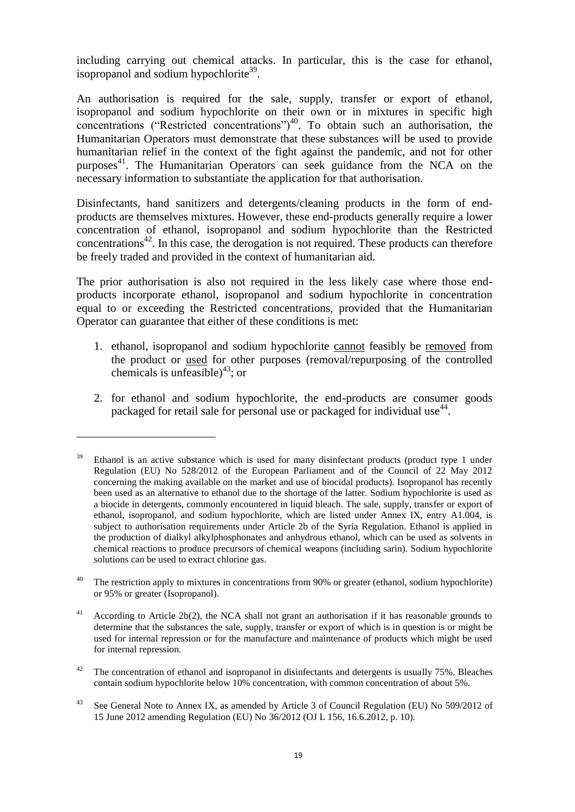including carrying out chemical attacks. In particular, this is the case for ethanol, isopropanol and sodium hypochlorite<sup>39</sup>.

An authorisation is required for the sale, supply, transfer or export of ethanol, isopropanol and sodium hypochlorite on their own or in mixtures in specific high concentrations ("Restricted concentrations")<sup>40</sup>. To obtain such an authorisation, the Humanitarian Operators must demonstrate that these substances will be used to provide humanitarian relief in the context of the fight against the pandemic, and not for other purposes <sup>41</sup>. The Humanitarian Operators can seek guidance from the NCA on the necessary information to substantiate the application for that authorisation.

Disinfectants, hand sanitizers and detergents/cleaning products in the form of endproducts are themselves mixtures. However, these end-products generally require a lower concentration of ethanol, isopropanol and sodium hypochlorite than the Restricted concentrations<sup>42</sup>. In this case, the derogation is not required. These products can therefore be freely traded and provided in the context of humanitarian aid.

The prior authorisation is also not required in the less likely case where those endproducts incorporate ethanol, isopropanol and sodium hypochlorite in concentration equal to or exceeding the Restricted concentrations, provided that the Humanitarian Operator can guarantee that either of these conditions is met:

- 1. ethanol, isopropanol and sodium hypochlorite cannot feasibly be removed from the product or used for other purposes (removal/repurposing of the controlled chemicals is unfeasible)<sup>43</sup>; or
- 2. for ethanol and sodium hypochlorite, the end-products are consumer goods packaged for retail sale for personal use or packaged for individual use<sup>44</sup>.

Ethanol is an active substance which is used for many disinfectant products (product type 1 under Regulation (EU) No 528/2012 of the European Parliament and of the Council of 22 May 2012 concerning the making available on the market and use of biocidal products). Isopropanol has recently been used as an alternative to ethanol due to the shortage of the latter. Sodium hypochlorite is used as a biocide in detergents, commonly encountered in liquid bleach. The sale, supply, transfer or export of ethanol, isopropanol, and sodium hypochlorite, which are listed under Annex IX, entry A1.004, is subject to authorisation requirements under Article 2b of the Syria Regulation. Ethanol is applied in the production of dialkyl alkylphosphonates and anhydrous ethanol, which can be used as solvents in chemical reactions to produce precursors of chemical weapons (including sarin). Sodium hypochlorite solutions can be used to extract chlorine gas.

<sup>&</sup>lt;sup>40</sup> The restriction apply to mixtures in concentrations from 90% or greater (ethanol, sodium hypochlorite) or 95% or greater (Isopropanol).

 $41$  According to Article 2b(2), the NCA shall not grant an authorisation if it has reasonable grounds to determine that the substances the sale, supply, transfer or export of which is in question is or might be used for internal repression or for the manufacture and maintenance of products which might be used for internal repression.

<sup>&</sup>lt;sup>42</sup> The concentration of ethanol and isopropanol in disinfectants and detergents is usually 75%. Bleaches contain sodium hypochlorite below 10% concentration, with common concentration of about 5%.

<sup>&</sup>lt;sup>43</sup> See General Note to Annex IX, as amended by Article 3 of Council Regulation (EU) No 509/2012 of 15 June 2012 amending Regulation (EU) No 36/2012 (OJ L 156, 16.6.2012, p. 10).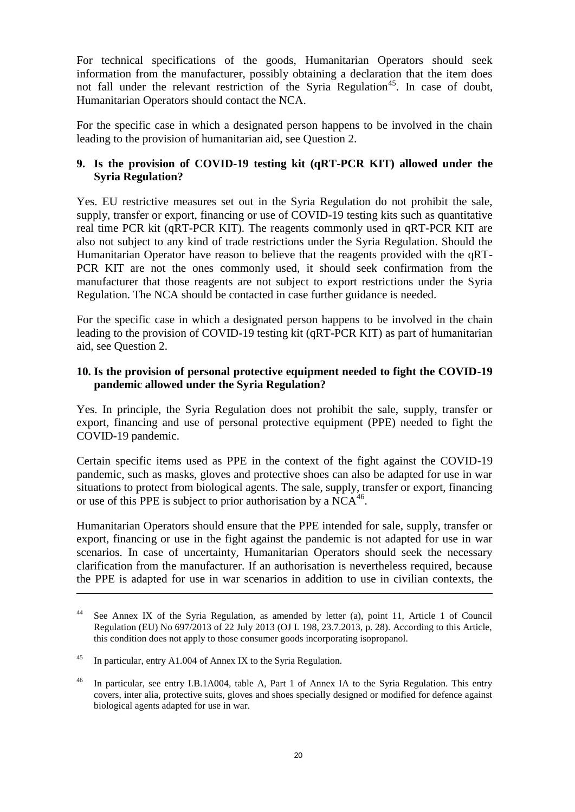For technical specifications of the goods, Humanitarian Operators should seek information from the manufacturer, possibly obtaining a declaration that the item does not fall under the relevant restriction of the Syria Regulation<sup>45</sup>. In case of doubt, Humanitarian Operators should contact the NCA.

For the specific case in which a designated person happens to be involved in the chain leading to the provision of humanitarian aid, see Question 2.

# **9. Is the provision of COVID-19 testing kit (qRT-PCR KIT) allowed under the Syria Regulation?**

Yes. EU restrictive measures set out in the Syria Regulation do not prohibit the sale, supply, transfer or export, financing or use of COVID-19 testing kits such as quantitative real time PCR kit (qRT-PCR KIT). The reagents commonly used in qRT-PCR KIT are also not subject to any kind of trade restrictions under the Syria Regulation. Should the Humanitarian Operator have reason to believe that the reagents provided with the qRT-PCR KIT are not the ones commonly used, it should seek confirmation from the manufacturer that those reagents are not subject to export restrictions under the Syria Regulation. The NCA should be contacted in case further guidance is needed.

For the specific case in which a designated person happens to be involved in the chain leading to the provision of COVID-19 testing kit (qRT-PCR KIT) as part of humanitarian aid, see Question 2.

### **10. Is the provision of personal protective equipment needed to fight the COVID-19 pandemic allowed under the Syria Regulation?**

Yes. In principle, the Syria Regulation does not prohibit the sale, supply, transfer or export, financing and use of personal protective equipment (PPE) needed to fight the COVID-19 pandemic.

Certain specific items used as PPE in the context of the fight against the COVID-19 pandemic, such as masks, gloves and protective shoes can also be adapted for use in war situations to protect from biological agents. The sale, supply, transfer or export, financing or use of this PPE is subject to prior authorisation by a  $NCA^{46}$ .

Humanitarian Operators should ensure that the PPE intended for sale, supply, transfer or export, financing or use in the fight against the pandemic is not adapted for use in war scenarios. In case of uncertainty, Humanitarian Operators should seek the necessary clarification from the manufacturer. If an authorisation is nevertheless required, because the PPE is adapted for use in war scenarios in addition to use in civilian contexts, the

<sup>44</sup> See Annex IX of the Syria Regulation, as amended by letter (a), point 11, Article 1 of Council Regulation (EU) No 697/2013 of 22 July 2013 (OJ L 198, 23.7.2013, p. 28). According to this Article, this condition does not apply to those consumer goods incorporating isopropanol.

<sup>45</sup> In particular, entry A1.004 of Annex IX to the Syria Regulation.

<sup>&</sup>lt;sup>46</sup> In particular, see entry I.B.1A004, table A, Part 1 of Annex IA to the Syria Regulation. This entry covers, inter alia, protective suits, gloves and shoes specially designed or modified for defence against biological agents adapted for use in war.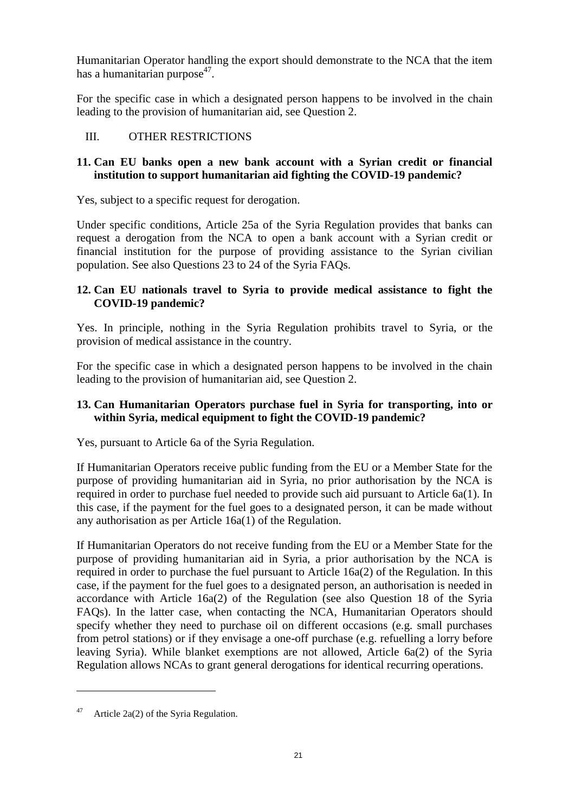Humanitarian Operator handling the export should demonstrate to the NCA that the item has a humanitarian purpose<sup>47</sup>.

For the specific case in which a designated person happens to be involved in the chain leading to the provision of humanitarian aid, see Question 2.

# <span id="page-21-0"></span>III. OTHER RESTRICTIONS

# **11. Can EU banks open a new bank account with a Syrian credit or financial institution to support humanitarian aid fighting the COVID-19 pandemic?**

Yes, subject to a specific request for derogation.

Under specific conditions, Article 25a of the Syria Regulation provides that banks can request a derogation from the NCA to open a bank account with a Syrian credit or financial institution for the purpose of providing assistance to the Syrian civilian population. See also Questions 23 to 24 of the Syria FAQs.

# **12. Can EU nationals travel to Syria to provide medical assistance to fight the COVID-19 pandemic?**

Yes. In principle, nothing in the Syria Regulation prohibits travel to Syria, or the provision of medical assistance in the country.

For the specific case in which a designated person happens to be involved in the chain leading to the provision of humanitarian aid, see Question 2.

# **13. Can Humanitarian Operators purchase fuel in Syria for transporting, into or within Syria, medical equipment to fight the COVID-19 pandemic?**

Yes, pursuant to Article 6a of the Syria Regulation.

If Humanitarian Operators receive public funding from the EU or a Member State for the purpose of providing humanitarian aid in Syria, no prior authorisation by the NCA is required in order to purchase fuel needed to provide such aid pursuant to Article 6a(1). In this case, if the payment for the fuel goes to a designated person, it can be made without any authorisation as per Article 16a(1) of the Regulation.

If Humanitarian Operators do not receive funding from the EU or a Member State for the purpose of providing humanitarian aid in Syria, a prior authorisation by the NCA is required in order to purchase the fuel pursuant to Article 16a(2) of the Regulation. In this case, if the payment for the fuel goes to a designated person, an authorisation is needed in accordance with Article 16a(2) of the Regulation (see also Question 18 of the Syria FAQs). In the latter case, when contacting the NCA, Humanitarian Operators should specify whether they need to purchase oil on different occasions (e.g. small purchases from petrol stations) or if they envisage a one-off purchase (e.g. refuelling a lorry before leaving Syria). While blanket exemptions are not allowed, Article 6a(2) of the Syria Regulation allows NCAs to grant general derogations for identical recurring operations.

<sup>&</sup>lt;sup>47</sup> Article 2a(2) of the Syria Regulation.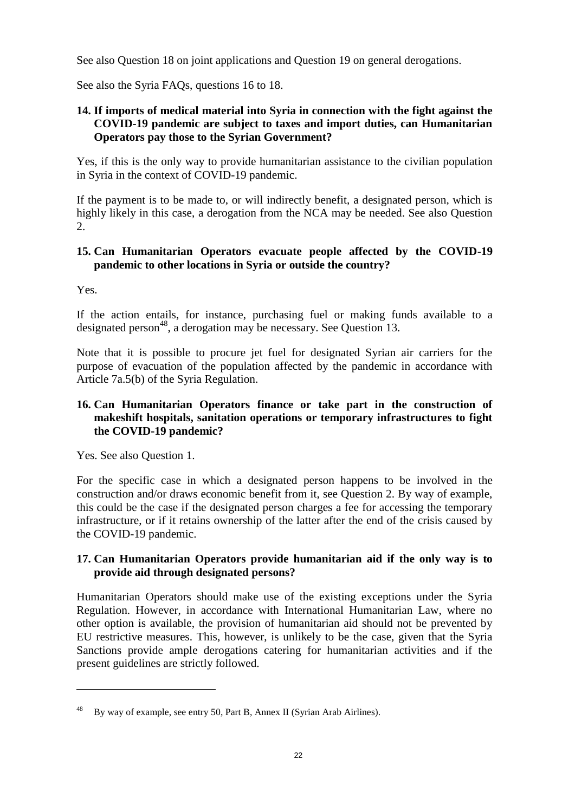See also Question 18 on joint applications and Question 19 on general derogations.

See also the Syria FAQs, questions 16 to 18.

# **14. If imports of medical material into Syria in connection with the fight against the COVID-19 pandemic are subject to taxes and import duties, can Humanitarian Operators pay those to the Syrian Government?**

Yes, if this is the only way to provide humanitarian assistance to the civilian population in Syria in the context of COVID-19 pandemic.

If the payment is to be made to, or will indirectly benefit, a designated person, which is highly likely in this case, a derogation from the NCA may be needed. See also Question 2.

### **15. Can Humanitarian Operators evacuate people affected by the COVID-19 pandemic to other locations in Syria or outside the country?**

Yes.

 $\overline{a}$ 

If the action entails, for instance, purchasing fuel or making funds available to a designated person<sup>48</sup>, a derogation may be necessary. See Question 13.

Note that it is possible to procure jet fuel for designated Syrian air carriers for the purpose of evacuation of the population affected by the pandemic in accordance with Article 7a.5(b) of the Syria Regulation.

### **16. Can Humanitarian Operators finance or take part in the construction of makeshift hospitals, sanitation operations or temporary infrastructures to fight the COVID-19 pandemic?**

Yes. See also Question 1.

For the specific case in which a designated person happens to be involved in the construction and/or draws economic benefit from it, see Question 2. By way of example, this could be the case if the designated person charges a fee for accessing the temporary infrastructure, or if it retains ownership of the latter after the end of the crisis caused by the COVID-19 pandemic.

### **17. Can Humanitarian Operators provide humanitarian aid if the only way is to provide aid through designated persons?**

Humanitarian Operators should make use of the existing exceptions under the Syria Regulation. However, in accordance with International Humanitarian Law, where no other option is available, the provision of humanitarian aid should not be prevented by EU restrictive measures. This, however, is unlikely to be the case, given that the Syria Sanctions provide ample derogations catering for humanitarian activities and if the present guidelines are strictly followed.

By way of example, see entry 50, Part B, Annex II (Syrian Arab Airlines).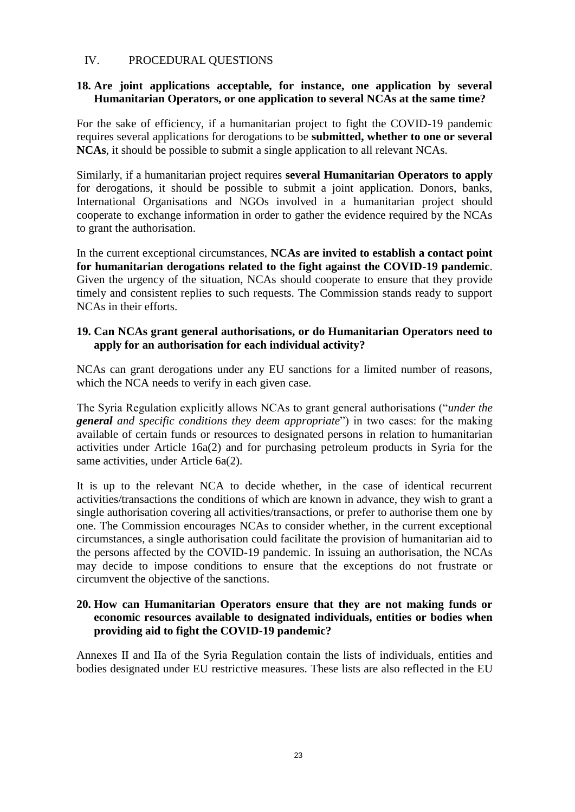# <span id="page-23-0"></span>IV. PROCEDURAL QUESTIONS

### **18. Are joint applications acceptable, for instance, one application by several Humanitarian Operators, or one application to several NCAs at the same time?**

For the sake of efficiency, if a humanitarian project to fight the COVID-19 pandemic requires several applications for derogations to be **submitted, whether to one or several NCAs**, it should be possible to submit a single application to all relevant NCAs.

Similarly, if a humanitarian project requires **several Humanitarian Operators to apply** for derogations, it should be possible to submit a joint application. Donors, banks, International Organisations and NGOs involved in a humanitarian project should cooperate to exchange information in order to gather the evidence required by the NCAs to grant the authorisation.

In the current exceptional circumstances, **NCAs are invited to establish a contact point for humanitarian derogations related to the fight against the COVID-19 pandemic**. Given the urgency of the situation, NCAs should cooperate to ensure that they provide timely and consistent replies to such requests. The Commission stands ready to support NCAs in their efforts.

### **19. Can NCAs grant general authorisations, or do Humanitarian Operators need to apply for an authorisation for each individual activity?**

NCAs can grant derogations under any EU sanctions for a limited number of reasons, which the NCA needs to verify in each given case.

The Syria Regulation explicitly allows NCAs to grant general authorisations ("*under the general and specific conditions they deem appropriate*") in two cases: for the making available of certain funds or resources to designated persons in relation to humanitarian activities under Article 16a(2) and for purchasing petroleum products in Syria for the same activities, under Article 6a(2).

It is up to the relevant NCA to decide whether, in the case of identical recurrent activities/transactions the conditions of which are known in advance, they wish to grant a single authorisation covering all activities/transactions, or prefer to authorise them one by one. The Commission encourages NCAs to consider whether, in the current exceptional circumstances, a single authorisation could facilitate the provision of humanitarian aid to the persons affected by the COVID-19 pandemic. In issuing an authorisation, the NCAs may decide to impose conditions to ensure that the exceptions do not frustrate or circumvent the objective of the sanctions.

### **20. How can Humanitarian Operators ensure that they are not making funds or economic resources available to designated individuals, entities or bodies when providing aid to fight the COVID-19 pandemic?**

Annexes II and IIa of the Syria Regulation contain the lists of individuals, entities and bodies designated under EU restrictive measures. These lists are also reflected in the EU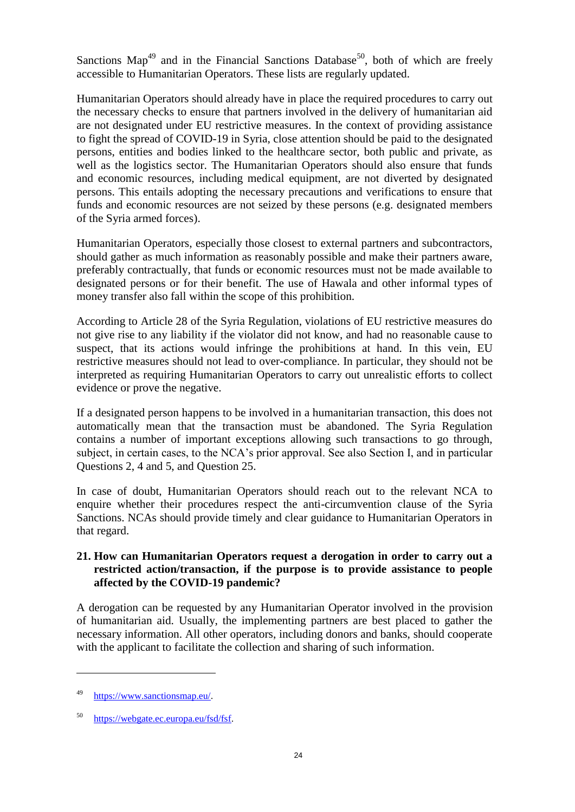Sanctions Map<sup>49</sup> and in the Financial Sanctions Database<sup>50</sup>, both of which are freely accessible to Humanitarian Operators. These lists are regularly updated.

Humanitarian Operators should already have in place the required procedures to carry out the necessary checks to ensure that partners involved in the delivery of humanitarian aid are not designated under EU restrictive measures. In the context of providing assistance to fight the spread of COVID-19 in Syria, close attention should be paid to the designated persons, entities and bodies linked to the healthcare sector, both public and private, as well as the logistics sector. The Humanitarian Operators should also ensure that funds and economic resources, including medical equipment, are not diverted by designated persons. This entails adopting the necessary precautions and verifications to ensure that funds and economic resources are not seized by these persons (e.g. designated members of the Syria armed forces).

Humanitarian Operators, especially those closest to external partners and subcontractors, should gather as much information as reasonably possible and make their partners aware, preferably contractually, that funds or economic resources must not be made available to designated persons or for their benefit. The use of Hawala and other informal types of money transfer also fall within the scope of this prohibition.

According to Article 28 of the Syria Regulation, violations of EU restrictive measures do not give rise to any liability if the violator did not know, and had no reasonable cause to suspect, that its actions would infringe the prohibitions at hand. In this vein, EU restrictive measures should not lead to over-compliance. In particular, they should not be interpreted as requiring Humanitarian Operators to carry out unrealistic efforts to collect evidence or prove the negative.

If a designated person happens to be involved in a humanitarian transaction, this does not automatically mean that the transaction must be abandoned. The Syria Regulation contains a number of important exceptions allowing such transactions to go through, subject, in certain cases, to the NCA's prior approval. See also Section I, and in particular Questions 2, 4 and 5, and Question 25.

In case of doubt, Humanitarian Operators should reach out to the relevant NCA to enquire whether their procedures respect the anti-circumvention clause of the Syria Sanctions. NCAs should provide timely and clear guidance to Humanitarian Operators in that regard.

### **21. How can Humanitarian Operators request a derogation in order to carry out a restricted action/transaction, if the purpose is to provide assistance to people affected by the COVID-19 pandemic?**

A derogation can be requested by any Humanitarian Operator involved in the provision of humanitarian aid. Usually, the implementing partners are best placed to gather the necessary information. All other operators, including donors and banks, should cooperate with the applicant to facilitate the collection and sharing of such information.

<sup>49</sup> [https://www.sanctionsmap.eu/.](https://www.sanctionsmap.eu/) 

<sup>50</sup> [https://webgate.ec.europa.eu/fsd/fsf.](https://webgate.ec.europa.eu/fsd/fsf)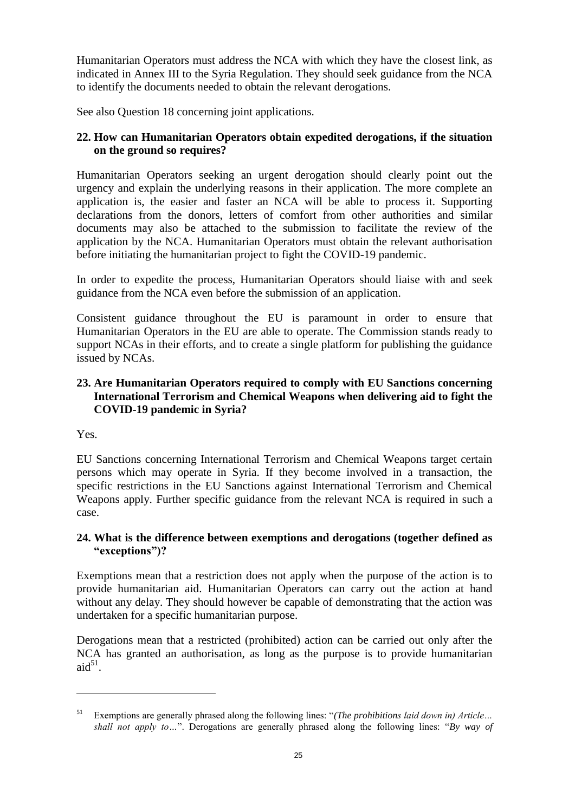Humanitarian Operators must address the NCA with which they have the closest link, as indicated in Annex III to the Syria Regulation. They should seek guidance from the NCA to identify the documents needed to obtain the relevant derogations.

See also Question 18 concerning joint applications.

# **22. How can Humanitarian Operators obtain expedited derogations, if the situation on the ground so requires?**

Humanitarian Operators seeking an urgent derogation should clearly point out the urgency and explain the underlying reasons in their application. The more complete an application is, the easier and faster an NCA will be able to process it. Supporting declarations from the donors, letters of comfort from other authorities and similar documents may also be attached to the submission to facilitate the review of the application by the NCA. Humanitarian Operators must obtain the relevant authorisation before initiating the humanitarian project to fight the COVID-19 pandemic.

In order to expedite the process, Humanitarian Operators should liaise with and seek guidance from the NCA even before the submission of an application.

Consistent guidance throughout the EU is paramount in order to ensure that Humanitarian Operators in the EU are able to operate. The Commission stands ready to support NCAs in their efforts, and to create a single platform for publishing the guidance issued by NCAs.

# **23. Are Humanitarian Operators required to comply with EU Sanctions concerning International Terrorism and Chemical Weapons when delivering aid to fight the COVID-19 pandemic in Syria?**

Yes.

 $\overline{a}$ 

EU Sanctions concerning International Terrorism and Chemical Weapons target certain persons which may operate in Syria. If they become involved in a transaction, the specific restrictions in the EU Sanctions against International Terrorism and Chemical Weapons apply. Further specific guidance from the relevant NCA is required in such a case.

# **24. What is the difference between exemptions and derogations (together defined as "exceptions")?**

Exemptions mean that a restriction does not apply when the purpose of the action is to provide humanitarian aid. Humanitarian Operators can carry out the action at hand without any delay. They should however be capable of demonstrating that the action was undertaken for a specific humanitarian purpose.

Derogations mean that a restricted (prohibited) action can be carried out only after the NCA has granted an authorisation, as long as the purpose is to provide humanitarian  $aid^{51}$ .

<sup>51</sup> Exemptions are generally phrased along the following lines: "*(The prohibitions laid down in) Article… shall not apply to…*". Derogations are generally phrased along the following lines: "*By way of*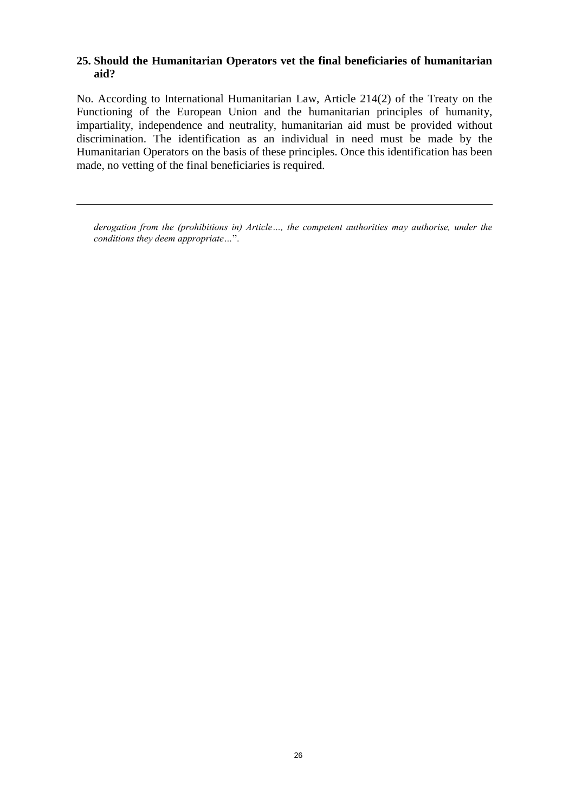# **25. Should the Humanitarian Operators vet the final beneficiaries of humanitarian aid?**

No. According to International Humanitarian Law, Article 214(2) of the Treaty on the Functioning of the European Union and the humanitarian principles of humanity, impartiality, independence and neutrality, humanitarian aid must be provided without discrimination. The identification as an individual in need must be made by the Humanitarian Operators on the basis of these principles. Once this identification has been made, no vetting of the final beneficiaries is required.

 $\overline{a}$ 

*derogation from the (prohibitions in) Article…, the competent authorities may authorise, under the conditions they deem appropriate…*".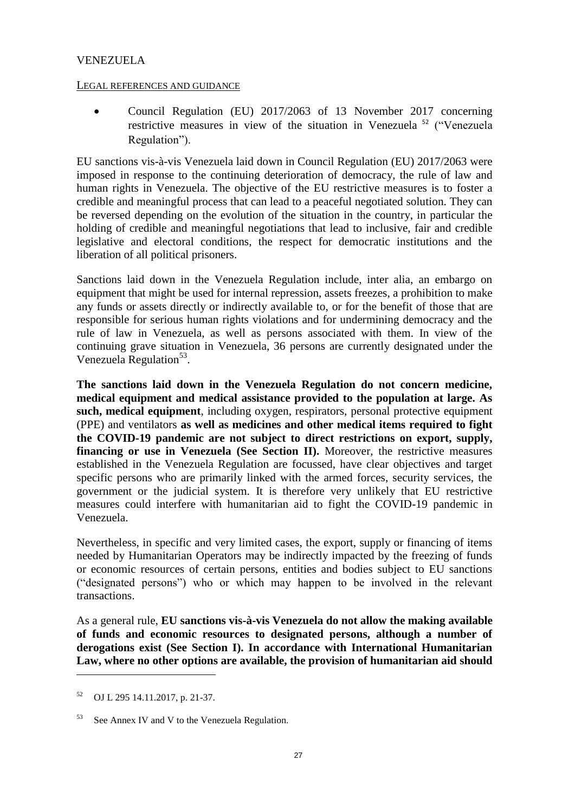# <span id="page-27-0"></span>VENEZUELA

### LEGAL REFERENCES AND GUIDANCE

• Council Regulation (EU) 2017/2063 of 13 November 2017 concerning restrictive measures in view of the situation in Venezuela<sup>52</sup> ("Venezuela Regulation").

EU sanctions vis-à-vis Venezuela laid down in Council Regulation (EU) 2017/2063 were imposed in response to the continuing deterioration of democracy, the rule of law and human rights in Venezuela. The objective of the EU restrictive measures is to foster a credible and meaningful process that can lead to a peaceful negotiated solution. They can be reversed depending on the evolution of the situation in the country, in particular the holding of credible and meaningful negotiations that lead to inclusive, fair and credible legislative and electoral conditions, the respect for democratic institutions and the liberation of all political prisoners.

Sanctions laid down in the Venezuela Regulation include, inter alia, an embargo on equipment that might be used for internal repression, assets freezes, a prohibition to make any funds or assets directly or indirectly available to, or for the benefit of those that are responsible for serious human rights violations and for undermining democracy and the rule of law in Venezuela, as well as persons associated with them. In view of the continuing grave situation in Venezuela, 36 persons are currently designated under the Venezuela Regulation<sup>53</sup>.

**The sanctions laid down in the Venezuela Regulation do not concern medicine, medical equipment and medical assistance provided to the population at large. As such, medical equipment**, including oxygen, respirators, personal protective equipment (PPE) and ventilators **as well as medicines and other medical items required to fight the COVID-19 pandemic are not subject to direct restrictions on export, supply, financing or use in Venezuela (See Section II).** Moreover, the restrictive measures established in the Venezuela Regulation are focussed, have clear objectives and target specific persons who are primarily linked with the armed forces, security services, the government or the judicial system. It is therefore very unlikely that EU restrictive measures could interfere with humanitarian aid to fight the COVID-19 pandemic in Venezuela.

Nevertheless, in specific and very limited cases, the export, supply or financing of items needed by Humanitarian Operators may be indirectly impacted by the freezing of funds or economic resources of certain persons, entities and bodies subject to EU sanctions ("designated persons") who or which may happen to be involved in the relevant transactions.

As a general rule, **EU sanctions vis-à-vis Venezuela do not allow the making available of funds and economic resources to designated persons, although a number of derogations exist (See Section I). In accordance with International Humanitarian Law, where no other options are available, the provision of humanitarian aid should** 

<sup>52</sup> OJ L 295 14.11.2017, p. 21-37.

<sup>&</sup>lt;sup>53</sup> See Annex IV and V to the Venezuela Regulation.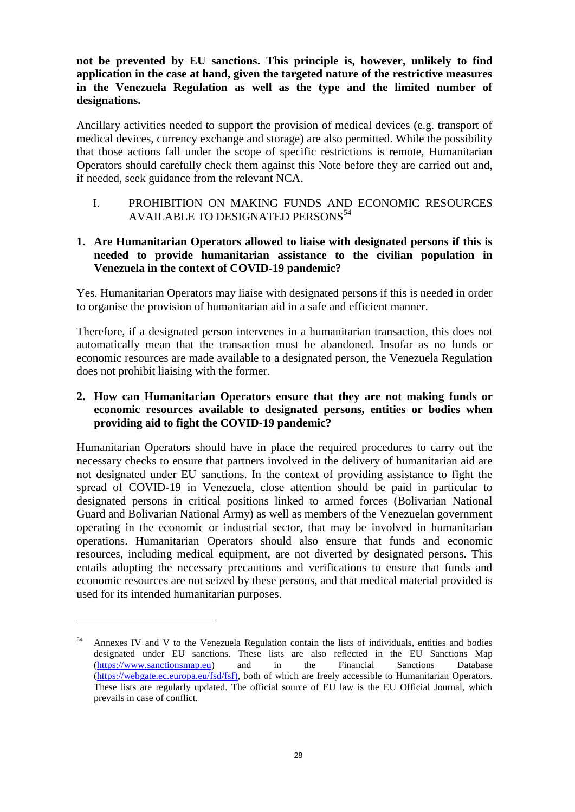**not be prevented by EU sanctions. This principle is, however, unlikely to find application in the case at hand, given the targeted nature of the restrictive measures in the Venezuela Regulation as well as the type and the limited number of designations.**

Ancillary activities needed to support the provision of medical devices (e.g. transport of medical devices, currency exchange and storage) are also permitted. While the possibility that those actions fall under the scope of specific restrictions is remote, Humanitarian Operators should carefully check them against this Note before they are carried out and, if needed, seek guidance from the relevant NCA.

<span id="page-28-0"></span>I. PROHIBITION ON MAKING FUNDS AND ECONOMIC RESOURCES AVAILABLE TO DESIGNATED PERSONS<sup>54</sup>

# **1. Are Humanitarian Operators allowed to liaise with designated persons if this is needed to provide humanitarian assistance to the civilian population in Venezuela in the context of COVID-19 pandemic?**

Yes. Humanitarian Operators may liaise with designated persons if this is needed in order to organise the provision of humanitarian aid in a safe and efficient manner.

Therefore, if a designated person intervenes in a humanitarian transaction, this does not automatically mean that the transaction must be abandoned. Insofar as no funds or economic resources are made available to a designated person, the Venezuela Regulation does not prohibit liaising with the former.

# **2. How can Humanitarian Operators ensure that they are not making funds or economic resources available to designated persons, entities or bodies when providing aid to fight the COVID-19 pandemic?**

Humanitarian Operators should have in place the required procedures to carry out the necessary checks to ensure that partners involved in the delivery of humanitarian aid are not designated under EU sanctions. In the context of providing assistance to fight the spread of COVID-19 in Venezuela, close attention should be paid in particular to designated persons in critical positions linked to armed forces (Bolivarian National Guard and Bolivarian National Army) as well as members of the Venezuelan government operating in the economic or industrial sector, that may be involved in humanitarian operations. Humanitarian Operators should also ensure that funds and economic resources, including medical equipment, are not diverted by designated persons. This entails adopting the necessary precautions and verifications to ensure that funds and economic resources are not seized by these persons, and that medical material provided is used for its intended humanitarian purposes.

<sup>54</sup> Annexes IV and V to the Venezuela Regulation contain the lists of individuals, entities and bodies designated under EU sanctions. These lists are also reflected in the EU Sanctions Map [\(https://www.sanctionsmap.eu\)](https://www.sanctionsmap.eu/) and in the Financial Sanctions Database [\(https://webgate.ec.europa.eu/fsd/fsf\)](https://webgate.ec.europa.eu/fsd/fsf), both of which are freely accessible to Humanitarian Operators. These lists are regularly updated. The official source of EU law is the EU Official Journal, which prevails in case of conflict.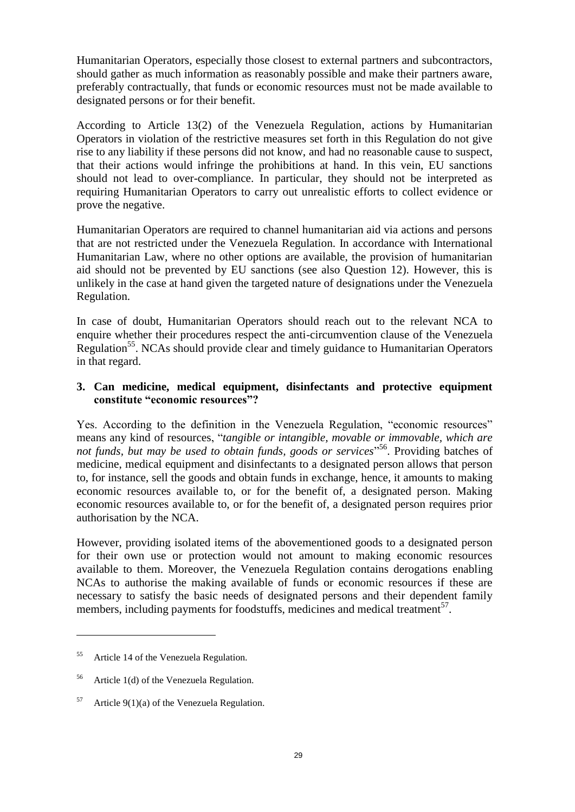Humanitarian Operators, especially those closest to external partners and subcontractors, should gather as much information as reasonably possible and make their partners aware, preferably contractually, that funds or economic resources must not be made available to designated persons or for their benefit.

According to Article 13(2) of the Venezuela Regulation, actions by Humanitarian Operators in violation of the restrictive measures set forth in this Regulation do not give rise to any liability if these persons did not know, and had no reasonable cause to suspect, that their actions would infringe the prohibitions at hand. In this vein, EU sanctions should not lead to over-compliance. In particular, they should not be interpreted as requiring Humanitarian Operators to carry out unrealistic efforts to collect evidence or prove the negative.

Humanitarian Operators are required to channel humanitarian aid via actions and persons that are not restricted under the Venezuela Regulation. In accordance with International Humanitarian Law, where no other options are available, the provision of humanitarian aid should not be prevented by EU sanctions (see also Question 12). However, this is unlikely in the case at hand given the targeted nature of designations under the Venezuela Regulation.

In case of doubt, Humanitarian Operators should reach out to the relevant NCA to enquire whether their procedures respect the anti-circumvention clause of the Venezuela Regulation<sup>55</sup>. NCAs should provide clear and timely guidance to Humanitarian Operators in that regard.

### **3. Can medicine, medical equipment, disinfectants and protective equipment constitute "economic resources"?**

Yes. According to the definition in the Venezuela Regulation, "economic resources" means any kind of resources, "*tangible or intangible, movable or immovable, which are not funds, but may be used to obtain funds, goods or services*" <sup>56</sup>. Providing batches of medicine, medical equipment and disinfectants to a designated person allows that person to, for instance, sell the goods and obtain funds in exchange, hence, it amounts to making economic resources available to, or for the benefit of, a designated person. Making economic resources available to, or for the benefit of, a designated person requires prior authorisation by the NCA.

However, providing isolated items of the abovementioned goods to a designated person for their own use or protection would not amount to making economic resources available to them. Moreover, the Venezuela Regulation contains derogations enabling NCAs to authorise the making available of funds or economic resources if these are necessary to satisfy the basic needs of designated persons and their dependent family members, including payments for foodstuffs, medicines and medical treatment<sup>57</sup>.

<sup>&</sup>lt;sup>55</sup> Article 14 of the Venezuela Regulation.

<sup>&</sup>lt;sup>56</sup> Article 1(d) of the Venezuela Regulation.

<sup>&</sup>lt;sup>57</sup> Article 9(1)(a) of the Venezuela Regulation.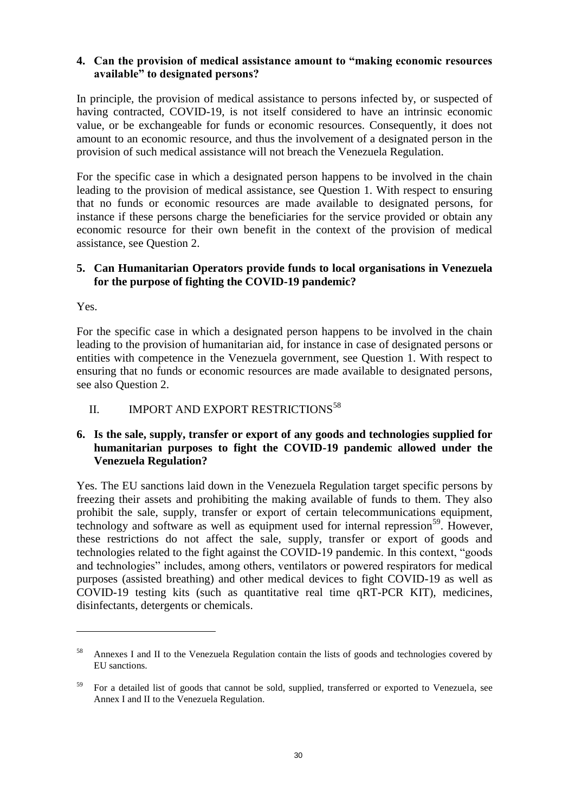# **4. Can the provision of medical assistance amount to "making economic resources available" to designated persons?**

In principle, the provision of medical assistance to persons infected by, or suspected of having contracted, COVID-19, is not itself considered to have an intrinsic economic value, or be exchangeable for funds or economic resources. Consequently, it does not amount to an economic resource, and thus the involvement of a designated person in the provision of such medical assistance will not breach the Venezuela Regulation.

For the specific case in which a designated person happens to be involved in the chain leading to the provision of medical assistance, see Question 1. With respect to ensuring that no funds or economic resources are made available to designated persons, for instance if these persons charge the beneficiaries for the service provided or obtain any economic resource for their own benefit in the context of the provision of medical assistance, see Question 2.

### **5. Can Humanitarian Operators provide funds to local organisations in Venezuela for the purpose of fighting the COVID-19 pandemic?**

Yes.

 $\overline{a}$ 

For the specific case in which a designated person happens to be involved in the chain leading to the provision of humanitarian aid, for instance in case of designated persons or entities with competence in the Venezuela government, see Question 1. With respect to ensuring that no funds or economic resources are made available to designated persons, see also Question 2.

# <span id="page-30-0"></span>II. IMPORT AND EXPORT RESTRICTIONS<sup>58</sup>

# **6. Is the sale, supply, transfer or export of any goods and technologies supplied for humanitarian purposes to fight the COVID-19 pandemic allowed under the Venezuela Regulation?**

Yes. The EU sanctions laid down in the Venezuela Regulation target specific persons by freezing their assets and prohibiting the making available of funds to them. They also prohibit the sale, supply, transfer or export of certain telecommunications equipment, technology and software as well as equipment used for internal repression<sup>59</sup>. However, these restrictions do not affect the sale, supply, transfer or export of goods and technologies related to the fight against the COVID-19 pandemic. In this context, "goods and technologies" includes, among others, ventilators or powered respirators for medical purposes (assisted breathing) and other medical devices to fight COVID-19 as well as COVID-19 testing kits (such as quantitative real time qRT-PCR KIT), medicines, disinfectants, detergents or chemicals.

<sup>58</sup> Annexes I and II to the Venezuela Regulation contain the lists of goods and technologies covered by EU sanctions.

<sup>59</sup> For a detailed list of goods that cannot be sold, supplied, transferred or exported to Venezuela, see Annex I and II to the Venezuela Regulation.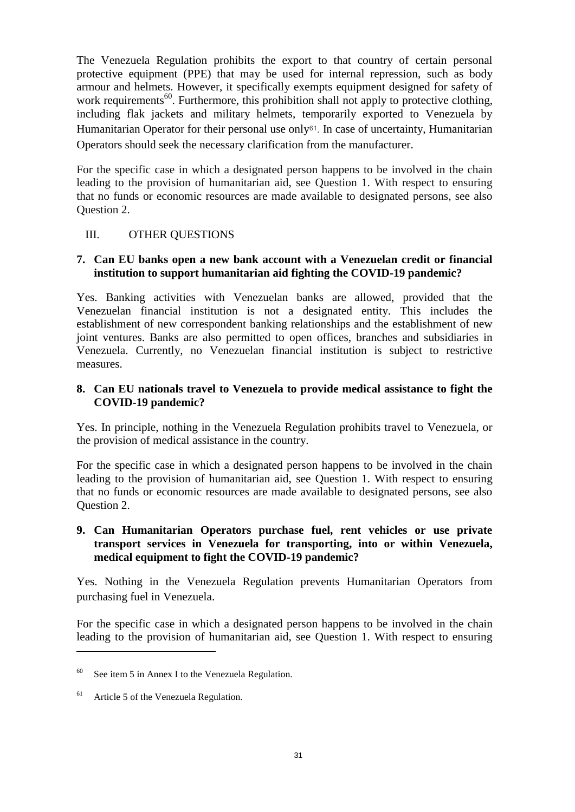The Venezuela Regulation prohibits the export to that country of certain personal protective equipment (PPE) that may be used for internal repression, such as body armour and helmets. However, it specifically exempts equipment designed for safety of work requirements<sup>60</sup>. Furthermore, this prohibition shall not apply to protective clothing, including flak jackets and military helmets, temporarily exported to Venezuela by Humanitarian Operator for their personal use only<sup>61</sup>. In case of uncertainty, Humanitarian Operators should seek the necessary clarification from the manufacturer.

For the specific case in which a designated person happens to be involved in the chain leading to the provision of humanitarian aid, see Question 1. With respect to ensuring that no funds or economic resources are made available to designated persons, see also Question 2.

### <span id="page-31-0"></span>III. OTHER QUESTIONS

### **7. Can EU banks open a new bank account with a Venezuelan credit or financial institution to support humanitarian aid fighting the COVID-19 pandemic?**

Yes. Banking activities with Venezuelan banks are allowed, provided that the Venezuelan financial institution is not a designated entity. This includes the establishment of new correspondent banking relationships and the establishment of new joint ventures. Banks are also permitted to open offices, branches and subsidiaries in Venezuela. Currently, no Venezuelan financial institution is subject to restrictive measures.

### **8. Can EU nationals travel to Venezuela to provide medical assistance to fight the COVID-19 pandemic?**

Yes. In principle, nothing in the Venezuela Regulation prohibits travel to Venezuela, or the provision of medical assistance in the country.

For the specific case in which a designated person happens to be involved in the chain leading to the provision of humanitarian aid, see Question 1. With respect to ensuring that no funds or economic resources are made available to designated persons, see also Question 2.

# **9. Can Humanitarian Operators purchase fuel, rent vehicles or use private transport services in Venezuela for transporting, into or within Venezuela, medical equipment to fight the COVID-19 pandemic?**

Yes. Nothing in the Venezuela Regulation prevents Humanitarian Operators from purchasing fuel in Venezuela.

For the specific case in which a designated person happens to be involved in the chain leading to the provision of humanitarian aid, see Question 1. With respect to ensuring

 $60$  See item 5 in Annex I to the Venezuela Regulation.

<sup>&</sup>lt;sup>61</sup> Article 5 of the Venezuela Regulation.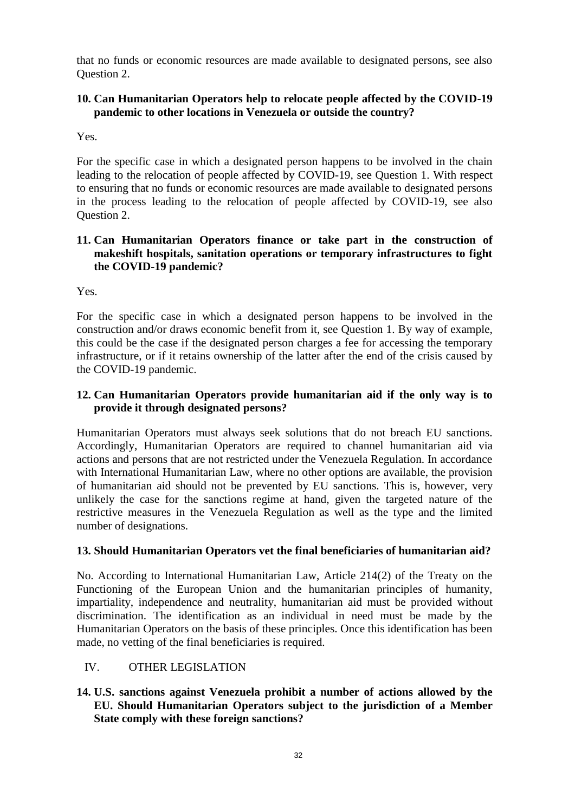that no funds or economic resources are made available to designated persons, see also Question 2.

# **10. Can Humanitarian Operators help to relocate people affected by the COVID-19 pandemic to other locations in Venezuela or outside the country?**

Yes.

For the specific case in which a designated person happens to be involved in the chain leading to the relocation of people affected by COVID-19, see Question 1. With respect to ensuring that no funds or economic resources are made available to designated persons in the process leading to the relocation of people affected by COVID-19, see also Question 2.

# **11. Can Humanitarian Operators finance or take part in the construction of makeshift hospitals, sanitation operations or temporary infrastructures to fight the COVID-19 pandemic?**

Yes.

For the specific case in which a designated person happens to be involved in the construction and/or draws economic benefit from it, see Question 1. By way of example, this could be the case if the designated person charges a fee for accessing the temporary infrastructure, or if it retains ownership of the latter after the end of the crisis caused by the COVID-19 pandemic.

# **12. Can Humanitarian Operators provide humanitarian aid if the only way is to provide it through designated persons?**

Humanitarian Operators must always seek solutions that do not breach EU sanctions. Accordingly, Humanitarian Operators are required to channel humanitarian aid via actions and persons that are not restricted under the Venezuela Regulation. In accordance with International Humanitarian Law, where no other options are available, the provision of humanitarian aid should not be prevented by EU sanctions. This is, however, very unlikely the case for the sanctions regime at hand, given the targeted nature of the restrictive measures in the Venezuela Regulation as well as the type and the limited number of designations.

# **13. Should Humanitarian Operators vet the final beneficiaries of humanitarian aid?**

No. According to International Humanitarian Law, Article 214(2) of the Treaty on the Functioning of the European Union and the humanitarian principles of humanity, impartiality, independence and neutrality, humanitarian aid must be provided without discrimination. The identification as an individual in need must be made by the Humanitarian Operators on the basis of these principles. Once this identification has been made, no vetting of the final beneficiaries is required.

# <span id="page-32-0"></span>IV. OTHER LEGISLATION

**14. U.S. sanctions against Venezuela prohibit a number of actions allowed by the EU. Should Humanitarian Operators subject to the jurisdiction of a Member State comply with these foreign sanctions?**